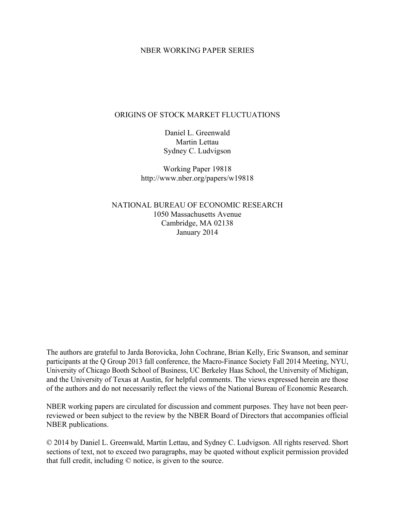### NBER WORKING PAPER SERIES

### ORIGINS OF STOCK MARKET FLUCTUATIONS

Daniel L. Greenwald Martin Lettau Sydney C. Ludvigson

Working Paper 19818 http://www.nber.org/papers/w19818

NATIONAL BUREAU OF ECONOMIC RESEARCH 1050 Massachusetts Avenue Cambridge, MA 02138 January 2014

The authors are grateful to Jarda Borovicka, John Cochrane, Brian Kelly, Eric Swanson, and seminar participants at the Q Group 2013 fall conference, the Macro-Finance Society Fall 2014 Meeting, NYU, University of Chicago Booth School of Business, UC Berkeley Haas School, the University of Michigan, and the University of Texas at Austin, for helpful comments. The views expressed herein are those of the authors and do not necessarily reflect the views of the National Bureau of Economic Research.

NBER working papers are circulated for discussion and comment purposes. They have not been peerreviewed or been subject to the review by the NBER Board of Directors that accompanies official NBER publications.

© 2014 by Daniel L. Greenwald, Martin Lettau, and Sydney C. Ludvigson. All rights reserved. Short sections of text, not to exceed two paragraphs, may be quoted without explicit permission provided that full credit, including © notice, is given to the source.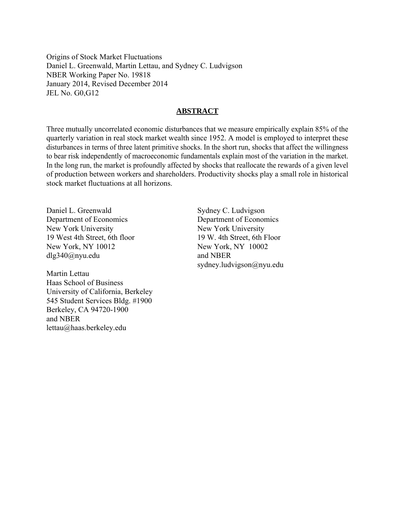Origins of Stock Market Fluctuations Daniel L. Greenwald, Martin Lettau, and Sydney C. Ludvigson NBER Working Paper No. 19818 January 2014, Revised December 2014 JEL No. G0,G12

## **ABSTRACT**

Three mutually uncorrelated economic disturbances that we measure empirically explain 85% of the quarterly variation in real stock market wealth since 1952. A model is employed to interpret these disturbances in terms of three latent primitive shocks. In the short run, shocks that affect the willingness to bear risk independently of macroeconomic fundamentals explain most of the variation in the market. In the long run, the market is profoundly affected by shocks that reallocate the rewards of a given level of production between workers and shareholders. Productivity shocks play a small role in historical stock market fluctuations at all horizons.

Daniel L. Greenwald Department of Economics New York University 19 West 4th Street, 6th floor New York, NY 10012 dlg340@nyu.edu

Martin Lettau Haas School of Business University of California, Berkeley 545 Student Services Bldg. #1900 Berkeley, CA 94720-1900 and NBER lettau@haas.berkeley.edu

Sydney C. Ludvigson Department of Economics New York University 19 W. 4th Street, 6th Floor New York, NY 10002 and NBER sydney.ludvigson@nyu.edu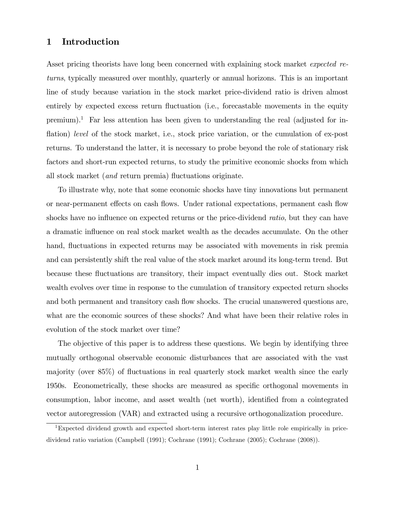# 1 Introduction

Asset pricing theorists have long been concerned with explaining stock market *expected re*turns, typically measured over monthly, quarterly or annual horizons. This is an important line of study because variation in the stock market price-dividend ratio is driven almost entirely by expected excess return fluctuation (i.e., forecastable movements in the equity premium).<sup>1</sup> Far less attention has been given to understanding the real (adjusted for inflation) level of the stock market, i.e., stock price variation, or the cumulation of ex-post returns. To understand the latter, it is necessary to probe beyond the role of stationary risk factors and short-run expected returns, to study the primitive economic shocks from which all stock market (*and* return premia) fluctuations originate.

To illustrate why, note that some economic shocks have tiny innovations but permanent or near-permanent effects on cash flows. Under rational expectations, permanent cash flow shocks have no influence on expected returns or the price-dividend ratio, but they can have a dramatic influence on real stock market wealth as the decades accumulate. On the other hand, fluctuations in expected returns may be associated with movements in risk premia and can persistently shift the real value of the stock market around its long-term trend. But because these áuctuations are transitory, their impact eventually dies out. Stock market wealth evolves over time in response to the cumulation of transitory expected return shocks and both permanent and transitory cash flow shocks. The crucial unanswered questions are, what are the economic sources of these shocks? And what have been their relative roles in evolution of the stock market over time?

The objective of this paper is to address these questions. We begin by identifying three mutually orthogonal observable economic disturbances that are associated with the vast majority (over 85%) of fluctuations in real quarterly stock market wealth since the early 1950s. Econometrically, these shocks are measured as specific orthogonal movements in consumption, labor income, and asset wealth (net worth), identified from a cointegrated vector autoregression (VAR) and extracted using a recursive orthogonalization procedure.

<sup>1</sup>Expected dividend growth and expected short-term interest rates play little role empirically in pricedividend ratio variation (Campbell (1991); Cochrane (1991); Cochrane (2005); Cochrane (2008)).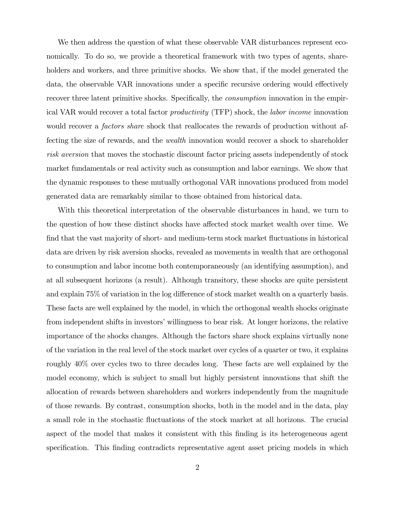We then address the question of what these observable VAR disturbances represent economically. To do so, we provide a theoretical framework with two types of agents, shareholders and workers, and three primitive shocks. We show that, if the model generated the data, the observable VAR innovations under a specific recursive ordering would effectively recover three latent primitive shocks. Specifically, the *consumption* innovation in the empirical VAR would recover a total factor productivity (TFP) shock, the labor income innovation would recover a *factors share* shock that reallocates the rewards of production without affecting the size of rewards, and the wealth innovation would recover a shock to shareholder risk aversion that moves the stochastic discount factor pricing assets independently of stock market fundamentals or real activity such as consumption and labor earnings. We show that the dynamic responses to these mutually orthogonal VAR innovations produced from model generated data are remarkably similar to those obtained from historical data.

With this theoretical interpretation of the observable disturbances in hand, we turn to the question of how these distinct shocks have affected stock market wealth over time. We find that the vast majority of short- and medium-term stock market fluctuations in historical data are driven by risk aversion shocks, revealed as movements in wealth that are orthogonal to consumption and labor income both contemporaneously (an identifying assumption), and at all subsequent horizons (a result). Although transitory, these shocks are quite persistent and explain 75% of variation in the log difference of stock market wealth on a quarterly basis. These facts are well explained by the model, in which the orthogonal wealth shocks originate from independent shifts in investors' willingness to bear risk. At longer horizons, the relative importance of the shocks changes. Although the factors share shock explains virtually none of the variation in the real level of the stock market over cycles of a quarter or two, it explains roughly 40% over cycles two to three decades long. These facts are well explained by the model economy, which is subject to small but highly persistent innovations that shift the allocation of rewards between shareholders and workers independently from the magnitude of those rewards. By contrast, consumption shocks, both in the model and in the data, play a small role in the stochastic fluctuations of the stock market at all horizons. The crucial aspect of the model that makes it consistent with this finding is its heterogeneous agent specification. This finding contradicts representative agent asset pricing models in which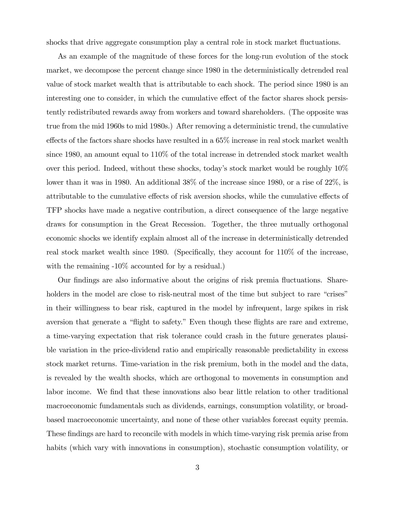shocks that drive aggregate consumption play a central role in stock market fluctuations.

As an example of the magnitude of these forces for the long-run evolution of the stock market, we decompose the percent change since 1980 in the deterministically detrended real value of stock market wealth that is attributable to each shock. The period since 1980 is an interesting one to consider, in which the cumulative effect of the factor shares shock persistently redistributed rewards away from workers and toward shareholders. (The opposite was true from the mid 1960s to mid 1980s.) After removing a deterministic trend, the cumulative effects of the factors share shocks have resulted in a  $65\%$  increase in real stock market wealth since 1980, an amount equal to 110% of the total increase in detrended stock market wealth over this period. Indeed, without these shocks, todayís stock market would be roughly 10% lower than it was in 1980. An additional 38% of the increase since 1980, or a rise of 22%, is attributable to the cumulative effects of risk aversion shocks, while the cumulative effects of TFP shocks have made a negative contribution, a direct consequence of the large negative draws for consumption in the Great Recession. Together, the three mutually orthogonal economic shocks we identify explain almost all of the increase in deterministically detrended real stock market wealth since 1980. (Specifically, they account for  $110\%$  of the increase, with the remaining -10% accounted for by a residual.)

Our findings are also informative about the origins of risk premia fluctuations. Shareholders in the model are close to risk-neutral most of the time but subject to rare "crises" in their willingness to bear risk, captured in the model by infrequent, large spikes in risk aversion that generate a "flight to safety." Even though these flights are rare and extreme, a time-varying expectation that risk tolerance could crash in the future generates plausible variation in the price-dividend ratio and empirically reasonable predictability in excess stock market returns. Time-variation in the risk premium, both in the model and the data, is revealed by the wealth shocks, which are orthogonal to movements in consumption and labor income. We find that these innovations also bear little relation to other traditional macroeconomic fundamentals such as dividends, earnings, consumption volatility, or broadbased macroeconomic uncertainty, and none of these other variables forecast equity premia. These findings are hard to reconcile with models in which time-varying risk premia arise from habits (which vary with innovations in consumption), stochastic consumption volatility, or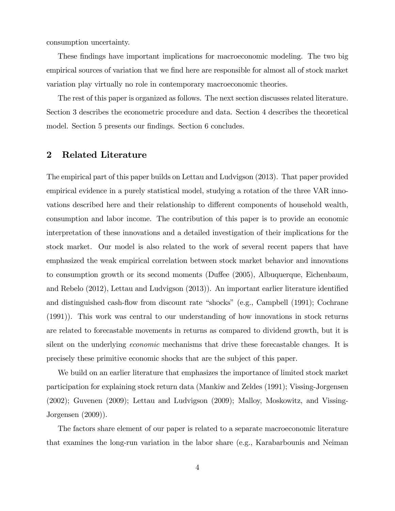consumption uncertainty.

These findings have important implications for macroeconomic modeling. The two big empirical sources of variation that we find here are responsible for almost all of stock market variation play virtually no role in contemporary macroeconomic theories.

The rest of this paper is organized as follows. The next section discusses related literature. Section 3 describes the econometric procedure and data. Section 4 describes the theoretical model. Section 5 presents our findings. Section 6 concludes.

## 2 Related Literature

The empirical part of this paper builds on Lettau and Ludvigson (2013). That paper provided empirical evidence in a purely statistical model, studying a rotation of the three VAR innovations described here and their relationship to different components of household wealth, consumption and labor income. The contribution of this paper is to provide an economic interpretation of these innovations and a detailed investigation of their implications for the stock market. Our model is also related to the work of several recent papers that have emphasized the weak empirical correlation between stock market behavior and innovations to consumption growth or its second moments (Duffee (2005), Albuquerque, Eichenbaum, and Rebelo  $(2012)$ , Lettau and Ludvigson  $(2013)$ ). An important earlier literature identified and distinguished cash-flow from discount rate "shocks" (e.g., Campbell  $(1991)$ ; Cochrane (1991)). This work was central to our understanding of how innovations in stock returns are related to forecastable movements in returns as compared to dividend growth, but it is silent on the underlying economic mechanisms that drive these forecastable changes. It is precisely these primitive economic shocks that are the subject of this paper.

We build on an earlier literature that emphasizes the importance of limited stock market participation for explaining stock return data (Mankiw and Zeldes (1991); Vissing-Jorgensen (2002); Guvenen (2009); Lettau and Ludvigson (2009); Malloy, Moskowitz, and Vissing-Jorgensen (2009)).

The factors share element of our paper is related to a separate macroeconomic literature that examines the long-run variation in the labor share (e.g., Karabarbounis and Neiman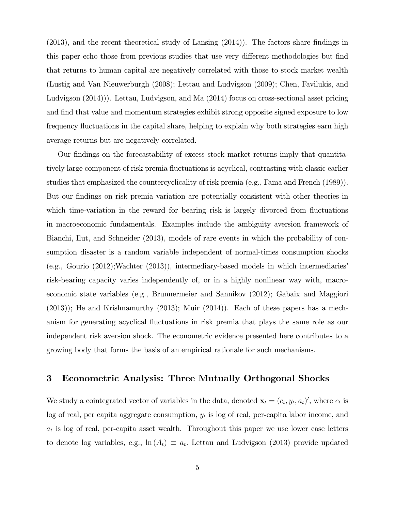$(2013)$ , and the recent theoretical study of Lansing  $(2014)$ ). The factors share findings in this paper echo those from previous studies that use very different methodologies but find that returns to human capital are negatively correlated with those to stock market wealth (Lustig and Van Nieuwerburgh (2008); Lettau and Ludvigson (2009); Chen, Favilukis, and Ludvigson (2014))). Lettau, Ludvigson, and Ma (2014) focus on cross-sectional asset pricing and find that value and momentum strategies exhibit strong opposite signed exposure to low frequency fluctuations in the capital share, helping to explain why both strategies earn high average returns but are negatively correlated.

Our Öndings on the forecastability of excess stock market returns imply that quantitatively large component of risk premia áuctuations is acyclical, contrasting with classic earlier studies that emphasized the countercyclicality of risk premia (e.g., Fama and French (1989)). But our findings on risk premia variation are potentially consistent with other theories in which time-variation in the reward for bearing risk is largely divorced from fluctuations in macroeconomic fundamentals. Examples include the ambiguity aversion framework of Bianchi, Ilut, and Schneider (2013), models of rare events in which the probability of consumption disaster is a random variable independent of normal-times consumption shocks  $(e.g., Gourio (2012); Wachter (2013)),$  intermediary-based models in which intermediaries risk-bearing capacity varies independently of, or in a highly nonlinear way with, macroeconomic state variables (e.g., Brunnermeier and Sannikov (2012); Gabaix and Maggiori (2013)); He and Krishnamurthy (2013); Muir (2014)). Each of these papers has a mechanism for generating acyclical áuctuations in risk premia that plays the same role as our independent risk aversion shock. The econometric evidence presented here contributes to a growing body that forms the basis of an empirical rationale for such mechanisms.

### 3 Econometric Analysis: Three Mutually Orthogonal Shocks

We study a cointegrated vector of variables in the data, denoted  $\mathbf{x}_t = (c_t, y_t, a_t)'$ , where  $c_t$  is  $log$  of real, per capita aggregate consumption,  $y_t$  is log of real, per-capita labor income, and  $a_t$  is log of real, per-capita asset wealth. Throughout this paper we use lower case letters to denote log variables, e.g.,  $\ln(A_t) \equiv a_t$ . Lettau and Ludvigson (2013) provide updated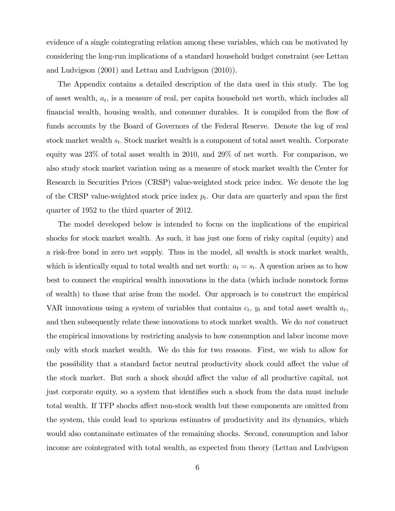evidence of a single cointegrating relation among these variables, which can be motivated by considering the long-run implications of a standard household budget constraint (see Lettau and Ludvigson (2001) and Lettau and Ludvigson (2010)).

The Appendix contains a detailed description of the data used in this study. The log of asset wealth,  $a_t$ , is a measure of real, per capita household net worth, which includes all financial wealth, housing wealth, and consumer durables. It is compiled from the flow of funds accounts by the Board of Governors of the Federal Reserve. Denote the log of real stock market wealth  $s_t$ . Stock market wealth is a component of total asset wealth. Corporate equity was 23% of total asset wealth in 2010, and 29% of net worth. For comparison, we also study stock market variation using as a measure of stock market wealth the Center for Research in Securities Prices (CRSP) value-weighted stock price index. We denote the log of the CRSP value-weighted stock price index  $p_t$ . Our data are quarterly and span the first quarter of 1952 to the third quarter of 2012.

The model developed below is intended to focus on the implications of the empirical shocks for stock market wealth. As such, it has just one form of risky capital (equity) and a risk-free bond in zero net supply. Thus in the model, all wealth is stock market wealth, which is identically equal to total wealth and net worth:  $a_t = s_t$ . A question arises as to how best to connect the empirical wealth innovations in the data (which include nonstock forms of wealth) to those that arise from the model. Our approach is to construct the empirical VAR innovations using a system of variables that contains  $c_t$ ,  $y_t$  and total asset wealth  $a_t$ , and then subsequently relate these innovations to stock market wealth. We do not construct the empirical innovations by restricting analysis to how consumption and labor income move only with stock market wealth. We do this for two reasons. First, we wish to allow for the possibility that a standard factor neutral productivity shock could affect the value of the stock market. But such a shock should affect the value of all productive capital, not just corporate equity, so a system that identifies such a shock from the data must include total wealth. If TFP shocks affect non-stock wealth but these components are omitted from the system, this could lead to spurious estimates of productivity and its dynamics, which would also contaminate estimates of the remaining shocks. Second, consumption and labor income are cointegrated with total wealth, as expected from theory (Lettau and Ludvigson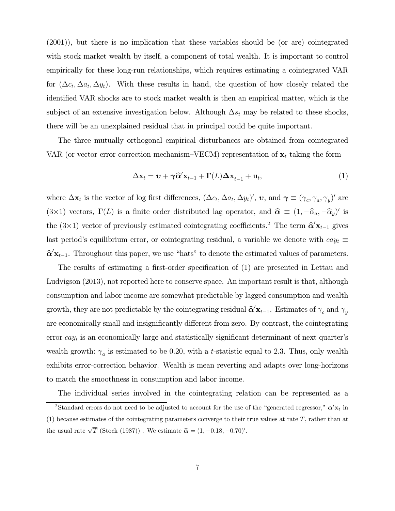(2001)), but there is no implication that these variables should be (or are) cointegrated with stock market wealth by itself, a component of total wealth. It is important to control empirically for these long-run relationships, which requires estimating a cointegrated VAR for  $(\Delta c_t, \Delta a_t, \Delta y_t)$ . With these results in hand, the question of how closely related the identified VAR shocks are to stock market wealth is then an empirical matter, which is the subject of an extensive investigation below. Although  $\Delta s_t$  may be related to these shocks, there will be an unexplained residual that in principal could be quite important.

The three mutually orthogonal empirical disturbances are obtained from cointegrated VAR (or vector error correction mechanism–VECM) representation of  $\mathbf{x}_t$  taking the form

$$
\Delta \mathbf{x}_t = \mathbf{v} + \gamma \hat{\alpha}' \mathbf{x}_{t-1} + \Gamma(L) \Delta \mathbf{x}_{t-1} + \mathbf{u}_t, \tag{1}
$$

where  $\Delta \mathbf{x}_t$  is the vector of log first differences,  $(\Delta c_t, \Delta a_t, \Delta y_t)'$ ,  $\boldsymbol{v}$ , and  $\boldsymbol{\gamma} \equiv (\gamma_c, \gamma_a, \gamma_y)'$  are  $(3\times1)$  vectors,  $\Gamma(L)$  is a finite order distributed lag operator, and  $\hat{\alpha} \equiv (1, -\hat{\alpha}_a, -\hat{\alpha}_y)'$  is the  $(3\times1)$  vector of previously estimated cointegrating coefficients.<sup>2</sup> The term  $\hat{\alpha}'\mathbf{x}_{t-1}$  gives last period's equilibrium error, or cointegrating residual, a variable we denote with  $cay_t \equiv$  $\hat{\alpha}' \mathbf{x}_{t-1}$ . Throughout this paper, we use "hats" to denote the estimated values of parameters.

The results of estimating a first-order specification of (1) are presented in Lettau and Ludvigson (2013), not reported here to conserve space. An important result is that, although consumption and labor income are somewhat predictable by lagged consumption and wealth growth, they are not predictable by the cointegrating residual  $\hat{\alpha}' \mathbf{x}_{t-1}$ . Estimates of  $\gamma_c$  and  $\gamma_y$ are economically small and insignificantly different from zero. By contrast, the cointegrating error  $cay_t$  is an economically large and statistically significant determinant of next quarter's wealth growth:  $\gamma_a$  is estimated to be 0.20, with a t-statistic equal to 2.3. Thus, only wealth exhibits error-correction behavior. Wealth is mean reverting and adapts over long-horizons to match the smoothness in consumption and labor income.

The individual series involved in the cointegrating relation can be represented as a <sup>2</sup>Standard errors do not need to be adjusted to account for the use of the "generated regressor,"  $\alpha' \mathbf{x}_t$  in (1) because estimates of the cointegrating parameters converge to their true values at rate  $T$ , rather than at the usual rate  $\sqrt{T}$  (Stock (1987)). We estimate  $\hat{\boldsymbol{\alpha}} = (1, -0.18, -0.70)'$ .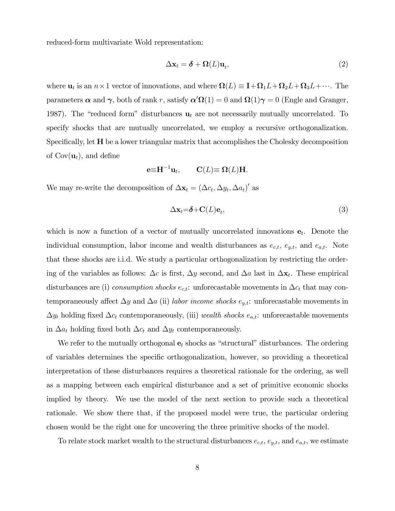reduced-form multivariate Wold representation:

$$
\Delta \mathbf{x}_t = \boldsymbol{\delta} + \Omega(L)\mathbf{u}_t,\tag{2}
$$

where  $\mathbf{u}_t$  is an  $n \times 1$  vector of innovations, and where  $\Omega(L) \equiv \mathbf{I} + \Omega_1 L + \Omega_2 L + \Omega_3 L + \cdots$ . The parameters  $\alpha$  and  $\gamma$ , both of rank r, satisfy  $\alpha' \Omega(1) = 0$  and  $\Omega(1)\gamma = 0$  (Engle and Granger, 1987). The "reduced form" disturbances  $\mathbf{u}_t$  are not necessarily mutually uncorrelated. To specify shocks that are mutually uncorrelated, we employ a recursive orthogonalization. Specifically, let **H** be a lower triangular matrix that accomplishes the Cholesky decomposition of  $Cov(\mathbf{u}_t)$ , and define

$$
\mathbf{e} \equiv \mathbf{H}^{-1} \mathbf{u}_t, \qquad \mathbf{C}(L) \equiv \mathbf{\Omega}(L) \mathbf{H}.
$$

We may re-write the decomposition of  $\Delta \mathbf{x}_t = (\Delta c_t, \Delta y_t, \Delta a_t)'$  as

$$
\Delta \mathbf{x}_t = \delta + \mathbf{C}(L)\mathbf{e}_t,\tag{3}
$$

which is now a function of a vector of mutually uncorrelated innovations  $e_t$ . Denote the individual consumption, labor income and wealth disturbances as  $e_{c,t}$ ,  $e_{y,t}$ , and  $e_{a,t}$ . Note that these shocks are i.i.d. We study a particular orthogonalization by restricting the ordering of the variables as follows:  $\Delta c$  is first,  $\Delta y$  second, and  $\Delta a$  last in  $\Delta \mathbf{x}_t$ . These empirical disturbances are (i) consumption shocks  $e_{c,t}$ : unforecastable movements in  $\Delta c_t$  that may contemporaneously affect  $\Delta y$  and  $\Delta a$  (ii) labor income shocks  $e_{y,t}$ : unforecastable movements in  $\Delta y_t$  holding fixed  $\Delta c_t$  contemporaneously, (iii) wealth shocks  $e_{a,t}$ : unforecastable movements in  $\Delta a_t$  holding fixed both  $\Delta c_t$  and  $\Delta y_t$  contemporaneously.

We refer to the mutually orthogonal  $e_t$  shocks as "structural" disturbances. The ordering of variables determines the specific orthogonalization, however, so providing a theoretical interpretation of these disturbances requires a theoretical rationale for the ordering, as well as a mapping between each empirical disturbance and a set of primitive economic shocks implied by theory. We use the model of the next section to provide such a theoretical rationale. We show there that, if the proposed model were true, the particular ordering chosen would be the right one for uncovering the three primitive shocks of the model.

To relate stock market wealth to the structural disturbances  $e_{c,t}$ ,  $e_{y,t}$ , and  $e_{a,t}$ , we estimate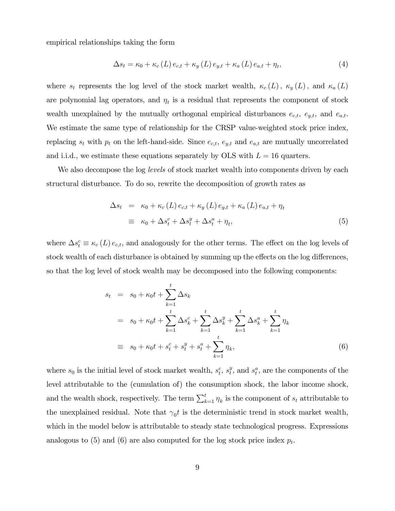empirical relationships taking the form

$$
\Delta s_t = \kappa_0 + \kappa_c \left( L \right) e_{c,t} + \kappa_y \left( L \right) e_{y,t} + \kappa_a \left( L \right) e_{a,t} + \eta_t, \tag{4}
$$

where  $s_t$  represents the log level of the stock market wealth,  $\kappa_c(L)$ ,  $\kappa_y(L)$ , and  $\kappa_a(L)$ are polynomial lag operators, and  $\eta_t$  is a residual that represents the component of stock wealth unexplained by the mutually orthogonal empirical disturbances  $e_{c,t}$ ,  $e_{y,t}$ , and  $e_{a,t}$ . We estimate the same type of relationship for the CRSP value-weighted stock price index, replacing  $s_t$  with  $p_t$  on the left-hand-side. Since  $e_{c,t}$ ,  $e_{y,t}$  and  $e_{a,t}$  are mutually uncorrelated and i.i.d., we estimate these equations separately by OLS with  $L = 16$  quarters.

We also decompose the log *levels* of stock market wealth into components driven by each structural disturbance. To do so, rewrite the decomposition of growth rates as

$$
\Delta s_t = \kappa_0 + \kappa_c (L) e_{c,t} + \kappa_y (L) e_{y,t} + \kappa_a (L) e_{a,t} + \eta_t
$$
  

$$
\equiv \kappa_0 + \Delta s_t^c + \Delta s_t^y + \Delta s_t^a + \eta_t,
$$
 (5)

where  $\Delta s_t^c \equiv \kappa_c (L) e_{c,t}$ , and analogously for the other terms. The effect on the log levels of stock wealth of each disturbance is obtained by summing up the effects on the log differences, so that the log level of stock wealth may be decomposed into the following components:

$$
s_t = s_0 + \kappa_0 t + \sum_{k=1}^t \Delta s_k
$$
  
=  $s_0 + \kappa_0 t + \sum_{k=1}^t \Delta s_k^c + \sum_{k=1}^t \Delta s_k^y + \sum_{k=1}^t \Delta s_k^a + \sum_{k=1}^t \eta_k$   

$$
\equiv s_0 + \kappa_0 t + s_t^c + s_t^y + s_t^a + \sum_{k=1}^t \eta_k,
$$
 (6)

where  $s_0$  is the initial level of stock market wealth,  $s_t^c$ ,  $s_t^y$  $t<sup>y</sup>$ , and  $s<sup>a</sup>$ , are the components of the level attributable to the (cumulation of) the consumption shock, the labor income shock, and the wealth shock, respectively. The term  $\sum_{k=1}^{t} \eta_k$  is the component of  $s_t$  attributable to the unexplained residual. Note that  $\gamma_0 t$  is the deterministic trend in stock market wealth, which in the model below is attributable to steady state technological progress. Expressions analogous to (5) and (6) are also computed for the log stock price index  $p_t$ .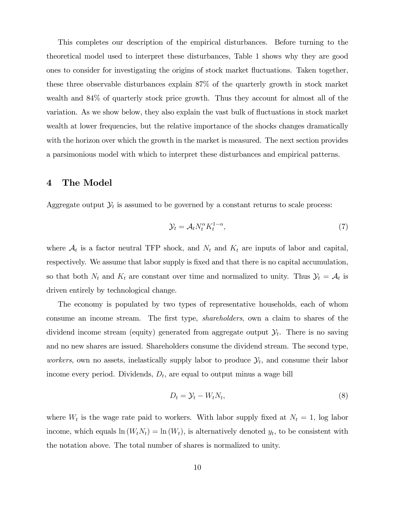This completes our description of the empirical disturbances. Before turning to the theoretical model used to interpret these disturbances, Table 1 shows why they are good ones to consider for investigating the origins of stock market áuctuations. Taken together, these three observable disturbances explain 87% of the quarterly growth in stock market wealth and 84% of quarterly stock price growth. Thus they account for almost all of the variation. As we show below, they also explain the vast bulk of fluctuations in stock market wealth at lower frequencies, but the relative importance of the shocks changes dramatically with the horizon over which the growth in the market is measured. The next section provides a parsimonious model with which to interpret these disturbances and empirical patterns.

## 4 The Model

Aggregate output  $\mathcal{Y}_t$  is assumed to be governed by a constant returns to scale process:

$$
\mathcal{Y}_t = \mathcal{A}_t N_t^{\alpha} K_t^{1-\alpha},\tag{7}
$$

where  $A_t$  is a factor neutral TFP shock, and  $N_t$  and  $K_t$  are inputs of labor and capital, respectively. We assume that labor supply is fixed and that there is no capital accumulation, so that both  $N_t$  and  $K_t$  are constant over time and normalized to unity. Thus  $\mathcal{Y}_t = \mathcal{A}_t$  is driven entirely by technological change.

The economy is populated by two types of representative households, each of whom consume an income stream. The first type, *shareholders*, own a claim to shares of the dividend income stream (equity) generated from aggregate output  $\mathcal{Y}_t$ . There is no saving and no new shares are issued. Shareholders consume the dividend stream. The second type, workers, own no assets, inelastically supply labor to produce  $\mathcal{Y}_t$ , and consume their labor income every period. Dividends,  $D_t$ , are equal to output minus a wage bill

$$
D_t = \mathcal{Y}_t - W_t N_t, \tag{8}
$$

where  $W_t$  is the wage rate paid to workers. With labor supply fixed at  $N_t = 1$ , log labor income, which equals  $\ln(W_t N_t) = \ln(W_t)$ , is alternatively denoted  $y_t$ , to be consistent with the notation above. The total number of shares is normalized to unity.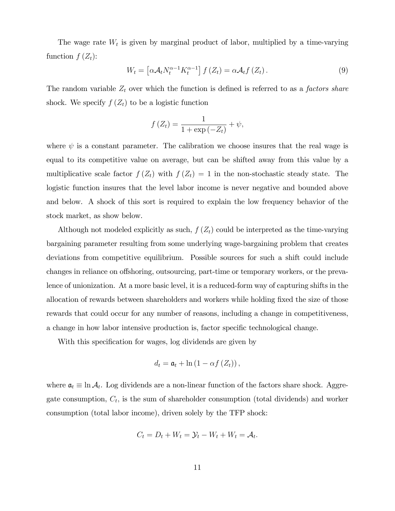The wage rate  $W_t$  is given by marginal product of labor, multiplied by a time-varying function  $f(Z_t)$ :

$$
W_t = \left[ \alpha \mathcal{A}_t N_t^{\alpha - 1} K_t^{\alpha - 1} \right] f(Z_t) = \alpha \mathcal{A}_t f(Z_t).
$$
\n(9)

The random variable  $Z_t$  over which the function is defined is referred to as a *factors share* shock. We specify  $f(Z_t)$  to be a logistic function

$$
f(Z_t) = \frac{1}{1 + \exp(-Z_t)} + \psi,
$$

where  $\psi$  is a constant parameter. The calibration we choose insures that the real wage is equal to its competitive value on average, but can be shifted away from this value by a multiplicative scale factor  $f(Z_t)$  with  $f(Z_t) = 1$  in the non-stochastic steady state. The logistic function insures that the level labor income is never negative and bounded above and below. A shock of this sort is required to explain the low frequency behavior of the stock market, as show below.

Although not modeled explicitly as such,  $f(Z_t)$  could be interpreted as the time-varying bargaining parameter resulting from some underlying wage-bargaining problem that creates deviations from competitive equilibrium. Possible sources for such a shift could include changes in reliance on offshoring, outsourcing, part-time or temporary workers, or the prevalence of unionization. At a more basic level, it is a reduced-form way of capturing shifts in the allocation of rewards between shareholders and workers while holding fixed the size of those rewards that could occur for any number of reasons, including a change in competitiveness, a change in how labor intensive production is, factor specific technological change.

With this specification for wages, log dividends are given by

$$
d_t = \mathfrak{a}_t + \ln\left(1 - \alpha f\left(Z_t\right)\right),
$$

where  $a_t \equiv \ln A_t$ . Log dividends are a non-linear function of the factors share shock. Aggregate consumption,  $C_t$ , is the sum of shareholder consumption (total dividends) and worker consumption (total labor income), driven solely by the TFP shock:

$$
C_t = D_t + W_t = \mathcal{Y}_t - W_t + W_t = \mathcal{A}_t.
$$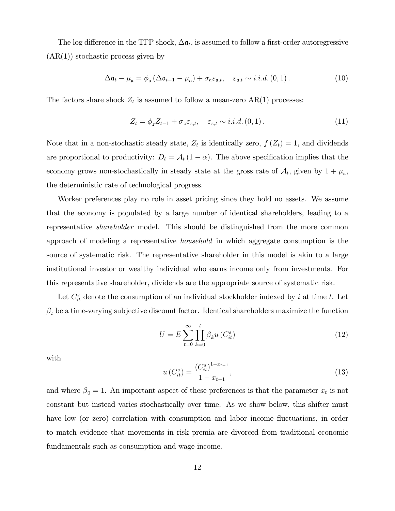The log difference in the TFP shock,  $\Delta a_t$ , is assumed to follow a first-order autoregressive  $(AR(1))$  stochastic process given by

$$
\Delta \mathfrak{a}_t - \mu_\mathfrak{a} = \phi_\mathfrak{a} \left( \Delta \mathfrak{a}_{t-1} - \mu_a \right) + \sigma_\mathfrak{a} \varepsilon_{\mathfrak{a},t}, \quad \varepsilon_{\mathfrak{a},t} \sim i.i.d. (0,1).
$$
 (10)

The factors share shock  $Z_t$  is assumed to follow a mean-zero  $AR(1)$  processes:

$$
Z_t = \phi_z Z_{t-1} + \sigma_z \varepsilon_{z,t}, \quad \varepsilon_{z,t} \sim i.i.d. (0,1).
$$
 (11)

Note that in a non-stochastic steady state,  $Z_t$  is identically zero,  $f(Z_t) = 1$ , and dividends are proportional to productivity:  $D_t = \mathcal{A}_t (1 - \alpha)$ . The above specification implies that the economy grows non-stochastically in steady state at the gross rate of  $\mathcal{A}_t$ , given by  $1 + \mu_a$ , the deterministic rate of technological progress.

Worker preferences play no role in asset pricing since they hold no assets. We assume that the economy is populated by a large number of identical shareholders, leading to a representative shareholder model. This should be distinguished from the more common approach of modeling a representative household in which aggregate consumption is the source of systematic risk. The representative shareholder in this model is akin to a large institutional investor or wealthy individual who earns income only from investments. For this representative shareholder, dividends are the appropriate source of systematic risk.

Let  $C_{it}^s$  denote the consumption of an individual stockholder indexed by i at time t. Let  $\beta_t$  be a time-varying subjective discount factor. Identical shareholders maximize the function

$$
U = E \sum_{t=0}^{\infty} \prod_{k=0}^{t} \beta_k u(C_{it}^s)
$$
\n(12)

with

$$
u\left(C_{it}^{s}\right) = \frac{\left(C_{it}^{s}\right)^{1-x_{t-1}}}{1-x_{t-1}},\tag{13}
$$

and where  $\beta_0 = 1$ . An important aspect of these preferences is that the parameter  $x_t$  is not constant but instead varies stochastically over time. As we show below, this shifter must have low (or zero) correlation with consumption and labor income fluctuations, in order to match evidence that movements in risk premia are divorced from traditional economic fundamentals such as consumption and wage income.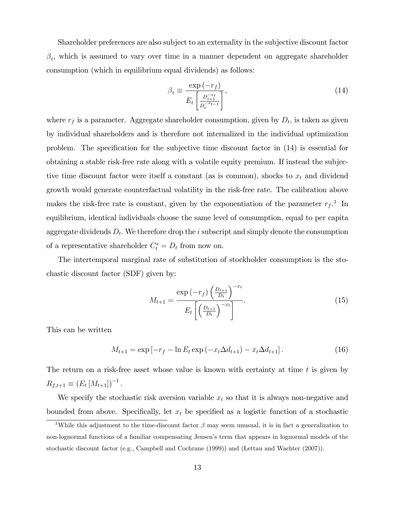Shareholder preferences are also subject to an externality in the subjective discount factor  $\beta_t$ , which is assumed to vary over time in a manner dependent on aggregate shareholder consumption (which in equilibrium equal dividends) as follows:

$$
\beta_t \equiv \frac{\exp\left(-r_f\right)}{E_t \left[\frac{D_{t+1}^{-x_t}}{D_t^{-x_{t-1}}}\right]},\tag{14}
$$

where  $r_f$  is a parameter. Aggregate shareholder consumption, given by  $D_t$ , is taken as given by individual shareholders and is therefore not internalized in the individual optimization problem. The specification for the subjective time discount factor in  $(14)$  is essential for obtaining a stable risk-free rate along with a volatile equity premium. If instead the subjective time discount factor were itself a constant (as is common), shocks to  $x_t$  and dividend growth would generate counterfactual volatility in the risk-free rate. The calibration above makes the risk-free rate is constant, given by the exponentiation of the parameter  $r_f$ <sup>3</sup>. In equilibrium, identical individuals choose the same level of consumption, equal to per capita aggregate dividends  $D_t$ . We therefore drop the i subscript and simply denote the consumption of a representative shareholder  $C_t^s = D_t$  from now on.

The intertemporal marginal rate of substitution of stockholder consumption is the stochastic discount factor (SDF) given by:

$$
M_{t+1} = \frac{\exp\left(-r_f\right) \left(\frac{D_{t+1}}{D_t}\right)^{-x_t}}{E_t \left[\left(\frac{D_{t+1}}{D_t}\right)^{-x_t}\right]}.
$$
\n(15)

This can be written

$$
M_{t+1} = \exp\left[-r_f - \ln E_t \exp\left(-x_t \Delta d_{t+1}\right) - x_t \Delta d_{t+1}\right].\tag{16}
$$

The return on a risk-free asset whose value is known with certainty at time t is given by  $R_{f,t+1} \equiv (E_t [M_{t+1}])^{-1}$ .

We specify the stochastic risk aversion variable  $x_t$  so that it is always non-negative and bounded from above. Specifically, let  $x_t$  be specified as a logistic function of a stochastic

<sup>&</sup>lt;sup>3</sup>While this adjustment to the time-discount factor  $\beta$  may seem unusual, it is in fact a generalization to non-lognormal functions of a familiar compensating Jensen's term that appears in lognormal models of the stochastic discount factor (e.g., Campbell and Cochrane (1999)) and (Lettau and Wachter (2007)).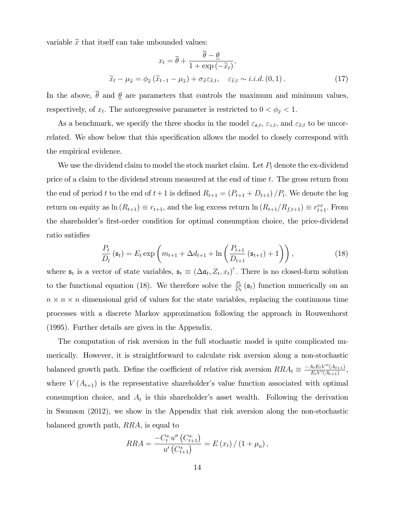variable  $\tilde{x}$  that itself can take unbounded values:

$$
x_t = \overline{\theta} + \frac{\theta - \underline{\theta}}{1 + \exp(-\tilde{x}_t)},
$$
  

$$
\widetilde{x}_t - \mu_{\widetilde{x}} = \phi_{\widetilde{x}}(\widetilde{x}_{t-1} - \mu_{\widetilde{x}}) + \sigma_{\widetilde{x}} \varepsilon_{\widetilde{x},t}, \quad \varepsilon_{\widetilde{x},t} \sim i.i.d. (0,1).
$$
 (17)

In the above,  $\bar{\theta}$  and  $\underline{\theta}$  are parameters that controls the maximum and minimum values, respectively, of  $x_t$ . The autoregressive parameter is restricted to  $0 < \phi_{\tilde{x}} < 1$ .

As a benchmark, we specify the three shocks in the model  $\varepsilon_{\mathfrak{a},t}$ ,  $\varepsilon_{z,t}$ , and  $\varepsilon_{\tilde{x},t}$  to be uncorrelated. We show below that this specification allows the model to closely correspond with the empirical evidence.

We use the dividend claim to model the stock market claim. Let  $P_t$  denote the ex-dividend price of a claim to the dividend stream measured at the end of time t. The gross return from the end of period t to the end of  $t+1$  is defined  $R_{t+1} = (P_{t+1} + D_{t+1})/P_t$ . We denote the log return on equity as  $\ln(R_{t+1}) \equiv r_{t+1}$ , and the log excess return  $\ln(R_{t+1}/R_{f,t+1}) \equiv r_{t+1}^{ex}$ . From the shareholder's first-order condition for optimal consumption choice, the price-dividend ratio satisfies

$$
\frac{P_t}{D_t}(\mathfrak{s}_t) = E_t \exp\left(m_{t+1} + \Delta d_{t+1} + \ln\left(\frac{P_{t+1}}{D_{t+1}}(\mathfrak{s}_{t+1}) + 1\right)\right),\tag{18}
$$

where  $\mathfrak{s}_t$  is a vector of state variables,  $\mathfrak{s}_t \equiv (\Delta \mathfrak{a}_t, Z_t, x_t)'$ . There is no closed-form solution to the functional equation (18). We therefore solve the  $\frac{P_t}{D_t}(\mathfrak{s}_t)$  function numerically on an  $n \times n \times n$  dimensional grid of values for the state variables, replacing the continuous time processes with a discrete Markov approximation following the approach in Rouwenhorst (1995). Further details are given in the Appendix.

The computation of risk aversion in the full stochastic model is quite complicated numerically. However, it is straightforward to calculate risk aversion along a non-stochastic balanced growth path. Define the coefficient of relative risk aversion  $RRA_t \equiv \frac{-A_t E_t V''(A_{t+1})}{E_t V'(A_{t+1})}$  $\frac{A_t E_t V''(A_{t+1})}{E_t V'(A_{t+1})},$ where  $V(A_{t+1})$  is the representative shareholder's value function associated with optimal consumption choice, and  $A_t$  is this shareholder's asset wealth. Following the derivation in Swanson (2012), we show in the Appendix that risk aversion along the non-stochastic balanced growth path, RRA, is equal to

$$
RRA = \frac{-C_t^{s} \cdot u''(C_{t+1}^{s})}{u'(C_{t+1}^{s})} = E(x_t) / (1 + \mu_a),
$$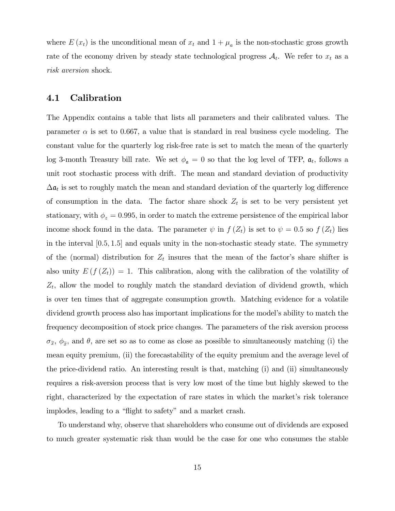where  $E(x_t)$  is the unconditional mean of  $x_t$  and  $1 + \mu_a$  is the non-stochastic gross growth rate of the economy driven by steady state technological progress  $A_t$ . We refer to  $x_t$  as a risk aversion shock.

# 4.1 Calibration

The Appendix contains a table that lists all parameters and their calibrated values. The parameter  $\alpha$  is set to 0.667, a value that is standard in real business cycle modeling. The constant value for the quarterly log risk-free rate is set to match the mean of the quarterly log 3-month Treasury bill rate. We set  $\phi_{\mathfrak{a}} = 0$  so that the log level of TFP,  $\mathfrak{a}_t$ , follows a unit root stochastic process with drift. The mean and standard deviation of productivity  $\Delta a_t$  is set to roughly match the mean and standard deviation of the quarterly log difference of consumption in the data. The factor share shock  $Z_t$  is set to be very persistent yet stationary, with  $\phi_z = 0.995$ , in order to match the extreme persistence of the empirical labor income shock found in the data. The parameter  $\psi$  in  $f(Z_t)$  is set to  $\psi = 0.5$  so  $f(Z_t)$  lies in the interval  $[0.5, 1.5]$  and equals unity in the non-stochastic steady state. The symmetry of the (normal) distribution for  $Z_t$  insures that the mean of the factor's share shifter is also unity  $E(f(Z_t)) = 1$ . This calibration, along with the calibration of the volatility of  $Z_t$ , allow the model to roughly match the standard deviation of dividend growth, which is over ten times that of aggregate consumption growth. Matching evidence for a volatile dividend growth process also has important implications for the model's ability to match the frequency decomposition of stock price changes. The parameters of the risk aversion process  $\sigma_{\tilde{x}}, \phi_{\tilde{x}}$ , and  $\theta$ , are set so as to come as close as possible to simultaneously matching (i) the mean equity premium, (ii) the forecastability of the equity premium and the average level of the price-dividend ratio. An interesting result is that, matching (i) and (ii) simultaneously requires a risk-aversion process that is very low most of the time but highly skewed to the right, characterized by the expectation of rare states in which the market's risk tolerance implodes, leading to a "flight to safety" and a market crash.

To understand why, observe that shareholders who consume out of dividends are exposed to much greater systematic risk than would be the case for one who consumes the stable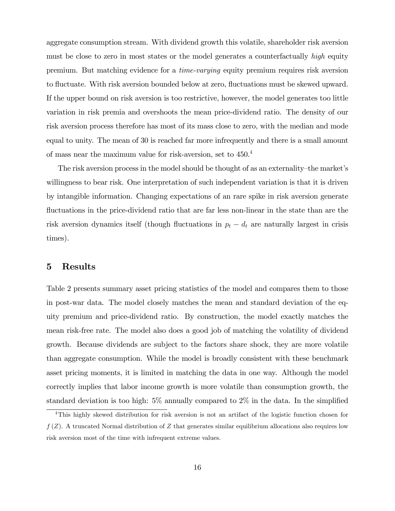aggregate consumption stream. With dividend growth this volatile, shareholder risk aversion must be close to zero in most states or the model generates a counterfactually high equity premium. But matching evidence for a time-varying equity premium requires risk aversion to fluctuate. With risk aversion bounded below at zero, fluctuations must be skewed upward. If the upper bound on risk aversion is too restrictive, however, the model generates too little variation in risk premia and overshoots the mean price-dividend ratio. The density of our risk aversion process therefore has most of its mass close to zero, with the median and mode equal to unity. The mean of 30 is reached far more infrequently and there is a small amount of mass near the maximum value for risk-aversion, set to 450.<sup>4</sup>

The risk aversion process in the model should be thought of as an externality—the market's willingness to bear risk. One interpretation of such independent variation is that it is driven by intangible information. Changing expectations of an rare spike in risk aversion generate fluctuations in the price-dividend ratio that are far less non-linear in the state than are the risk aversion dynamics itself (though fluctuations in  $p_t - d_t$  are naturally largest in crisis times).

### 5 Results

Table 2 presents summary asset pricing statistics of the model and compares them to those in post-war data. The model closely matches the mean and standard deviation of the equity premium and price-dividend ratio. By construction, the model exactly matches the mean risk-free rate. The model also does a good job of matching the volatility of dividend growth. Because dividends are subject to the factors share shock, they are more volatile than aggregate consumption. While the model is broadly consistent with these benchmark asset pricing moments, it is limited in matching the data in one way. Although the model correctly implies that labor income growth is more volatile than consumption growth, the standard deviation is too high:  $5\%$  annually compared to  $2\%$  in the data. In the simplified

<sup>4</sup>This highly skewed distribution for risk aversion is not an artifact of the logistic function chosen for  $f(Z)$ . A truncated Normal distribution of Z that generates similar equilibrium allocations also requires low risk aversion most of the time with infrequent extreme values.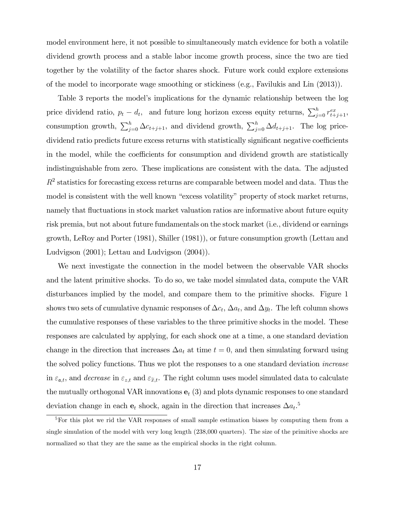model environment here, it not possible to simultaneously match evidence for both a volatile dividend growth process and a stable labor income growth process, since the two are tied together by the volatility of the factor shares shock. Future work could explore extensions of the model to incorporate wage smoothing or stickiness (e.g., Favilukis and Lin (2013)).

Table 3 reports the model's implications for the dynamic relationship between the log price dividend ratio,  $p_t - d_t$ , and future long horizon excess equity returns,  $\sum_{j=0}^{h} r_{t+j+1}^{ex}$ , consumption growth,  $\sum_{j=0}^{h} \Delta c_{t+j+1}$ , and dividend growth,  $\sum_{j=0}^{h} \Delta d_{t+j+1}$ . The log pricedividend ratio predicts future excess returns with statistically significant negative coefficients in the model, while the coefficients for consumption and dividend growth are statistically indistinguishable from zero. These implications are consistent with the data. The adjusted  $R<sup>2</sup>$  statistics for forecasting excess returns are comparable between model and data. Thus the model is consistent with the well known "excess volatility" property of stock market returns, namely that fluctuations in stock market valuation ratios are informative about future equity risk premia, but not about future fundamentals on the stock market (i.e., dividend or earnings growth, LeRoy and Porter (1981), Shiller (1981)), or future consumption growth (Lettau and Ludvigson (2001); Lettau and Ludvigson (2004)).

We next investigate the connection in the model between the observable VAR shocks and the latent primitive shocks. To do so, we take model simulated data, compute the VAR disturbances implied by the model, and compare them to the primitive shocks. Figure 1 shows two sets of cumulative dynamic responses of  $\Delta c_t$ ,  $\Delta a_t$ , and  $\Delta y_t$ . The left column shows the cumulative responses of these variables to the three primitive shocks in the model. These responses are calculated by applying, for each shock one at a time, a one standard deviation change in the direction that increases  $\Delta a_t$  at time  $t = 0$ , and then simulating forward using the solved policy functions. Thus we plot the responses to a one standard deviation increase in  $\varepsilon_{\mathfrak{a},t}$ , and decrease in  $\varepsilon_{z,t}$  and  $\varepsilon_{\tilde{x},t}$ . The right column uses model simulated data to calculate the mutually orthogonal VAR innovations  $e_t$  (3) and plots dynamic responses to one standard deviation change in each  $e_t$  shock, again in the direction that increases  $\Delta a_t$ .<sup>5</sup>

<sup>&</sup>lt;sup>5</sup>For this plot we rid the VAR responses of small sample estimation biases by computing them from a single simulation of the model with very long length (238,000 quarters). The size of the primitive shocks are normalized so that they are the same as the empirical shocks in the right column.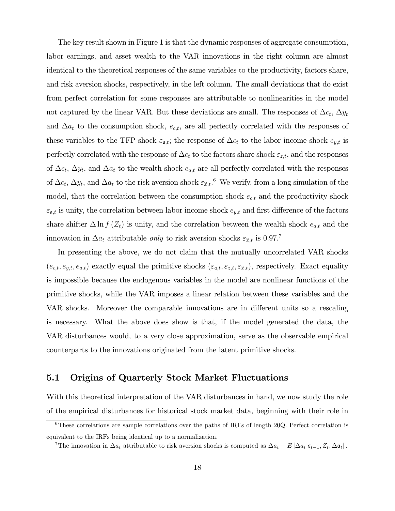The key result shown in Figure 1 is that the dynamic responses of aggregate consumption, labor earnings, and asset wealth to the VAR innovations in the right column are almost identical to the theoretical responses of the same variables to the productivity, factors share, and risk aversion shocks, respectively, in the left column. The small deviations that do exist from perfect correlation for some responses are attributable to nonlinearities in the model not captured by the linear VAR. But these deviations are small. The responses of  $\Delta c_t$ ,  $\Delta y_t$ and  $\Delta a_t$  to the consumption shock,  $e_{c,t}$ , are all perfectly correlated with the responses of these variables to the TFP shock  $\varepsilon_{\mathfrak{a},t}$ ; the response of  $\Delta c_t$  to the labor income shock  $e_{y,t}$  is perfectly correlated with the response of  $\Delta c_t$  to the factors share shock  $\varepsilon_{z,t}$ , and the responses of  $\Delta c_t$ ,  $\Delta y_t$ , and  $\Delta a_t$  to the wealth shock  $e_{a,t}$  are all perfectly correlated with the responses of  $\Delta c_t$ ,  $\Delta y_t$ , and  $\Delta a_t$  to the risk aversion shock  $\varepsilon_{\tilde{x},t}$ . We verify, from a long simulation of the model, that the correlation between the consumption shock  $e_{c,t}$  and the productivity shock  $\varepsilon_{\mathfrak{a},t}$  is unity, the correlation between labor income shock  $e_{y,t}$  and first difference of the factors share shifter  $\Delta \ln f(Z_t)$  is unity, and the correlation between the wealth shock  $e_{a,t}$  and the innovation in  $\Delta a_t$  attributable *only* to risk aversion shocks  $\varepsilon_{\tilde{x},t}$  is 0.97.<sup>7</sup>

In presenting the above, we do not claim that the mutually uncorrelated VAR shocks  $(e_{c,t}, e_{y,t}, e_{a,t})$  exactly equal the primitive shocks  $(\varepsilon_{a,t}, \varepsilon_{z,t}, \varepsilon_{\tilde{x},t})$ , respectively. Exact equality is impossible because the endogenous variables in the model are nonlinear functions of the primitive shocks, while the VAR imposes a linear relation between these variables and the VAR shocks. Moreover the comparable innovations are in different units so a rescaling is necessary. What the above does show is that, if the model generated the data, the VAR disturbances would, to a very close approximation, serve as the observable empirical counterparts to the innovations originated from the latent primitive shocks.

# 5.1 Origins of Quarterly Stock Market Fluctuations

With this theoretical interpretation of the VAR disturbances in hand, we now study the role of the empirical disturbances for historical stock market data, beginning with their role in

<sup>6</sup>These correlations are sample correlations over the paths of IRFs of length 20Q. Perfect correlation is equivalent to the IRFs being identical up to a normalization.

<sup>&</sup>lt;sup>7</sup>The innovation in  $\Delta a_t$  attributable to risk aversion shocks is computed as  $\Delta a_t - E[\Delta a_t | \mathfrak{s}_{t-1}, Z_t, \Delta \mathfrak{a}_t]$ .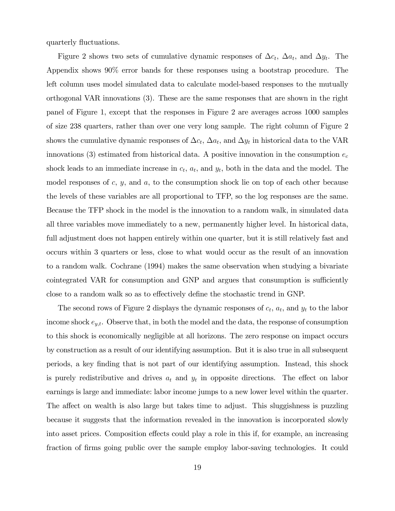quarterly fluctuations.

Figure 2 shows two sets of cumulative dynamic responses of  $\Delta c_t$ ,  $\Delta a_t$ , and  $\Delta y_t$ . The Appendix shows 90% error bands for these responses using a bootstrap procedure. The left column uses model simulated data to calculate model-based responses to the mutually orthogonal VAR innovations (3). These are the same responses that are shown in the right panel of Figure 1, except that the responses in Figure 2 are averages across 1000 samples of size 238 quarters, rather than over one very long sample. The right column of Figure 2 shows the cumulative dynamic responses of  $\Delta c_t$ ,  $\Delta a_t$ , and  $\Delta y_t$  in historical data to the VAR innovations (3) estimated from historical data. A positive innovation in the consumption  $e_c$ shock leads to an immediate increase in  $c_t$ ,  $a_t$ , and  $y_t$ , both in the data and the model. The model responses of  $c, y$ , and  $a$ , to the consumption shock lie on top of each other because the levels of these variables are all proportional to TFP, so the log responses are the same. Because the TFP shock in the model is the innovation to a random walk, in simulated data all three variables move immediately to a new, permanently higher level. In historical data, full adjustment does not happen entirely within one quarter, but it is still relatively fast and occurs within 3 quarters or less, close to what would occur as the result of an innovation to a random walk. Cochrane (1994) makes the same observation when studying a bivariate cointegrated VAR for consumption and GNP and argues that consumption is sufficiently close to a random walk so as to effectively define the stochastic trend in GNP.

The second rows of Figure 2 displays the dynamic responses of  $c_t$ ,  $a_t$ , and  $y_t$  to the labor income shock  $e_{y,t}$ . Observe that, in both the model and the data, the response of consumption to this shock is economically negligible at all horizons. The zero response on impact occurs by construction as a result of our identifying assumption. But it is also true in all subsequent periods, a key Önding that is not part of our identifying assumption. Instead, this shock is purely redistributive and drives  $a_t$  and  $y_t$  in opposite directions. The effect on labor earnings is large and immediate: labor income jumps to a new lower level within the quarter. The affect on wealth is also large but takes time to adjust. This sluggishness is puzzling because it suggests that the information revealed in the innovation is incorporated slowly into asset prices. Composition effects could play a role in this if, for example, an increasing fraction of firms going public over the sample employ labor-saving technologies. It could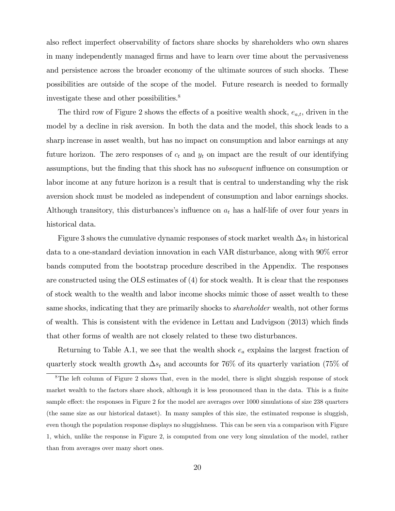also reflect imperfect observability of factors share shocks by shareholders who own shares in many independently managed Örms and have to learn over time about the pervasiveness and persistence across the broader economy of the ultimate sources of such shocks. These possibilities are outside of the scope of the model. Future research is needed to formally investigate these and other possibilities.<sup>8</sup>

The third row of Figure 2 shows the effects of a positive wealth shock,  $e_{a,t}$ , driven in the model by a decline in risk aversion. In both the data and the model, this shock leads to a sharp increase in asset wealth, but has no impact on consumption and labor earnings at any future horizon. The zero responses of  $c_t$  and  $y_t$  on impact are the result of our identifying assumptions, but the finding that this shock has no *subsequent* influence on consumption or labor income at any future horizon is a result that is central to understanding why the risk aversion shock must be modeled as independent of consumption and labor earnings shocks. Although transitory, this disturbances's influence on  $a_t$  has a half-life of over four years in historical data.

Figure 3 shows the cumulative dynamic responses of stock market wealth  $\Delta s_t$  in historical data to a one-standard deviation innovation in each VAR disturbance, along with 90% error bands computed from the bootstrap procedure described in the Appendix. The responses are constructed using the OLS estimates of (4) for stock wealth. It is clear that the responses of stock wealth to the wealth and labor income shocks mimic those of asset wealth to these same shocks, indicating that they are primarily shocks to *shareholder* wealth, not other forms of wealth. This is consistent with the evidence in Lettau and Ludvigson (2013) which finds that other forms of wealth are not closely related to these two disturbances.

Returning to Table A.1, we see that the wealth shock  $e_a$  explains the largest fraction of quarterly stock wealth growth  $\Delta s_t$  and accounts for 76% of its quarterly variation (75% of

<sup>8</sup>The left column of Figure 2 shows that, even in the model, there is slight sluggish response of stock market wealth to the factors share shock, although it is less pronounced than in the data. This is a finite sample effect: the responses in Figure 2 for the model are averages over 1000 simulations of size 238 quarters (the same size as our historical dataset). In many samples of this size, the estimated response is sluggish, even though the population response displays no sluggishness. This can be seen via a comparison with Figure 1, which, unlike the response in Figure 2, is computed from one very long simulation of the model, rather than from averages over many short ones.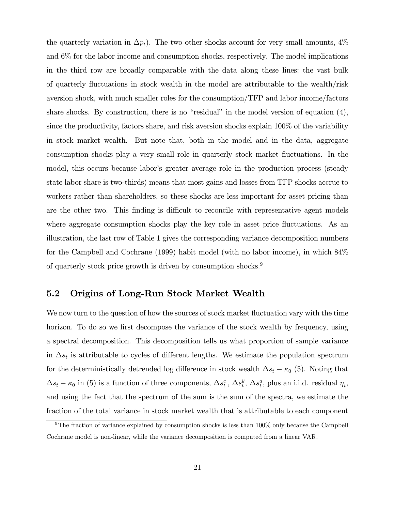the quarterly variation in  $\Delta p_t$ ). The two other shocks account for very small amounts, 4% and 6% for the labor income and consumption shocks, respectively. The model implications in the third row are broadly comparable with the data along these lines: the vast bulk of quarterly fluctuations in stock wealth in the model are attributable to the wealth/risk aversion shock, with much smaller roles for the consumption/TFP and labor income/factors share shocks. By construction, there is no "residual" in the model version of equation  $(4)$ , since the productivity, factors share, and risk aversion shocks explain 100% of the variability in stock market wealth. But note that, both in the model and in the data, aggregate consumption shocks play a very small role in quarterly stock market fluctuations. In the model, this occurs because labor's greater average role in the production process (steady state labor share is two-thirds) means that most gains and losses from TFP shocks accrue to workers rather than shareholders, so these shocks are less important for asset pricing than are the other two. This finding is difficult to reconcile with representative agent models where aggregate consumption shocks play the key role in asset price fluctuations. As an illustration, the last row of Table 1 gives the corresponding variance decomposition numbers for the Campbell and Cochrane (1999) habit model (with no labor income), in which 84% of quarterly stock price growth is driven by consumption shocks.<sup>9</sup>

# 5.2 Origins of Long-Run Stock Market Wealth

We now turn to the question of how the sources of stock market fluctuation vary with the time horizon. To do so we first decompose the variance of the stock wealth by frequency, using a spectral decomposition. This decomposition tells us what proportion of sample variance in  $\Delta s_t$  is attributable to cycles of different lengths. We estimate the population spectrum for the deterministically detrended log difference in stock wealth  $\Delta s_t - \kappa_0$  (5). Noting that  $\Delta s_t - \kappa_0$  in (5) is a function of three components,  $\Delta s_t^c$ ,  $\Delta s_t^y$  $t<sup>y</sup>$ ,  $\Delta s<sup>a</sup>$ , plus an i.i.d. residual  $\eta<sub>t</sub>$ , and using the fact that the spectrum of the sum is the sum of the spectra, we estimate the fraction of the total variance in stock market wealth that is attributable to each component

<sup>&</sup>lt;sup>9</sup>The fraction of variance explained by consumption shocks is less than 100% only because the Campbell Cochrane model is non-linear, while the variance decomposition is computed from a linear VAR.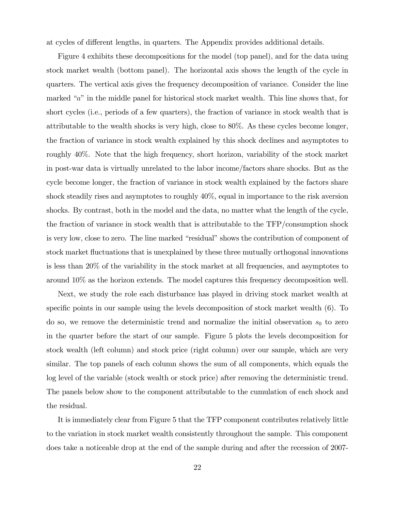at cycles of different lengths, in quarters. The Appendix provides additional details.

Figure 4 exhibits these decompositions for the model (top panel), and for the data using stock market wealth (bottom panel). The horizontal axis shows the length of the cycle in quarters. The vertical axis gives the frequency decomposition of variance. Consider the line marked  $a^i$  in the middle panel for historical stock market wealth. This line shows that, for short cycles (i.e., periods of a few quarters), the fraction of variance in stock wealth that is attributable to the wealth shocks is very high, close to 80%. As these cycles become longer, the fraction of variance in stock wealth explained by this shock declines and asymptotes to roughly 40%. Note that the high frequency, short horizon, variability of the stock market in post-war data is virtually unrelated to the labor income/factors share shocks. But as the cycle become longer, the fraction of variance in stock wealth explained by the factors share shock steadily rises and asymptotes to roughly 40%, equal in importance to the risk aversion shocks. By contrast, both in the model and the data, no matter what the length of the cycle, the fraction of variance in stock wealth that is attributable to the TFP/consumption shock is very low, close to zero. The line marked "residual" shows the contribution of component of stock market fluctuations that is unexplained by these three mutually orthogonal innovations is less than 20% of the variability in the stock market at all frequencies, and asymptotes to around 10% as the horizon extends. The model captures this frequency decomposition well.

Next, we study the role each disturbance has played in driving stock market wealth at specific points in our sample using the levels decomposition of stock market wealth  $(6)$ . To do so, we remove the deterministic trend and normalize the initial observation  $s_0$  to zero in the quarter before the start of our sample. Figure 5 plots the levels decomposition for stock wealth (left column) and stock price (right column) over our sample, which are very similar. The top panels of each column shows the sum of all components, which equals the log level of the variable (stock wealth or stock price) after removing the deterministic trend. The panels below show to the component attributable to the cumulation of each shock and the residual.

It is immediately clear from Figure 5 that the TFP component contributes relatively little to the variation in stock market wealth consistently throughout the sample. This component does take a noticeable drop at the end of the sample during and after the recession of 2007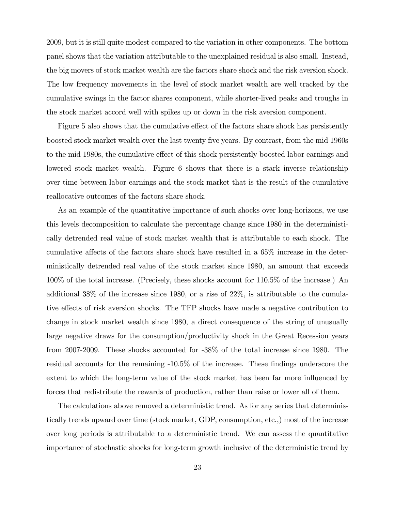2009, but it is still quite modest compared to the variation in other components. The bottom panel shows that the variation attributable to the unexplained residual is also small. Instead, the big movers of stock market wealth are the factors share shock and the risk aversion shock. The low frequency movements in the level of stock market wealth are well tracked by the cumulative swings in the factor shares component, while shorter-lived peaks and troughs in the stock market accord well with spikes up or down in the risk aversion component.

Figure 5 also shows that the cumulative effect of the factors share shock has persistently boosted stock market wealth over the last twenty Öve years. By contrast, from the mid 1960s to the mid 1980s, the cumulative effect of this shock persistently boosted labor earnings and lowered stock market wealth. Figure 6 shows that there is a stark inverse relationship over time between labor earnings and the stock market that is the result of the cumulative reallocative outcomes of the factors share shock.

As an example of the quantitative importance of such shocks over long-horizons, we use this levels decomposition to calculate the percentage change since 1980 in the deterministically detrended real value of stock market wealth that is attributable to each shock. The cumulative affects of the factors share shock have resulted in a  $65\%$  increase in the deterministically detrended real value of the stock market since 1980, an amount that exceeds 100% of the total increase. (Precisely, these shocks account for 110.5% of the increase.) An additional 38% of the increase since 1980, or a rise of 22%, is attributable to the cumulative effects of risk aversion shocks. The TFP shocks have made a negative contribution to change in stock market wealth since 1980, a direct consequence of the string of unusually large negative draws for the consumption/productivity shock in the Great Recession years from 2007-2009. These shocks accounted for -38% of the total increase since 1980. The residual accounts for the remaining -10.5% of the increase. These findings underscore the extent to which the long-term value of the stock market has been far more influenced by forces that redistribute the rewards of production, rather than raise or lower all of them.

The calculations above removed a deterministic trend. As for any series that deterministically trends upward over time (stock market, GDP, consumption, etc.,) most of the increase over long periods is attributable to a deterministic trend. We can assess the quantitative importance of stochastic shocks for long-term growth inclusive of the deterministic trend by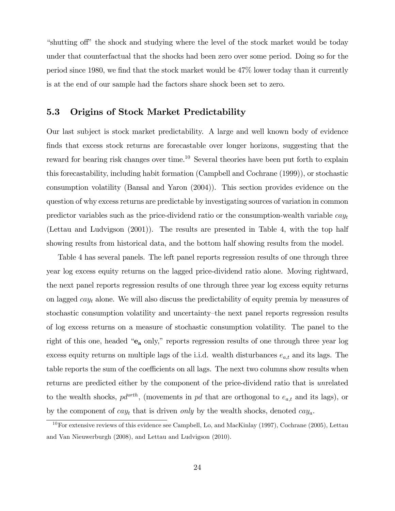"shutting off" the shock and studying where the level of the stock market would be today under that counterfactual that the shocks had been zero over some period. Doing so for the period since 1980, we find that the stock market would be  $47\%$  lower today than it currently is at the end of our sample had the factors share shock been set to zero.

## 5.3 Origins of Stock Market Predictability

Our last subject is stock market predictability. A large and well known body of evidence finds that excess stock returns are forecastable over longer horizons, suggesting that the reward for bearing risk changes over time.<sup>10</sup> Several theories have been put forth to explain this forecastability, including habit formation (Campbell and Cochrane (1999)), or stochastic consumption volatility (Bansal and Yaron (2004)). This section provides evidence on the question of why excess returns are predictable by investigating sources of variation in common predictor variables such as the price-dividend ratio or the consumption-wealth variable  $cay_t$ (Lettau and Ludvigson (2001)). The results are presented in Table 4, with the top half showing results from historical data, and the bottom half showing results from the model.

Table 4 has several panels. The left panel reports regression results of one through three year log excess equity returns on the lagged price-dividend ratio alone. Moving rightward, the next panel reports regression results of one through three year log excess equity returns on lagged  $cay_t$  alone. We will also discuss the predictability of equity premia by measures of stochastic consumption volatility and uncertainty—the next panel reports regression results of log excess returns on a measure of stochastic consumption volatility. The panel to the right of this one, headed " $e_a$  only," reports regression results of one through three year log excess equity returns on multiple lags of the i.i.d. wealth disturbances  $e_{a,t}$  and its lags. The table reports the sum of the coefficients on all lags. The next two columns show results when returns are predicted either by the component of the price-dividend ratio that is unrelated to the wealth shocks,  $pd^{orth}$ , (movements in pd that are orthogonal to  $e_{a,t}$  and its lags), or by the component of  $cay_t$  that is driven only by the wealth shocks, denoted  $cay_a$ .

<sup>10</sup>For extensive reviews of this evidence see Campbell, Lo, and MacKinlay (1997), Cochrane (2005), Lettau and Van Nieuwerburgh (2008), and Lettau and Ludvigson (2010).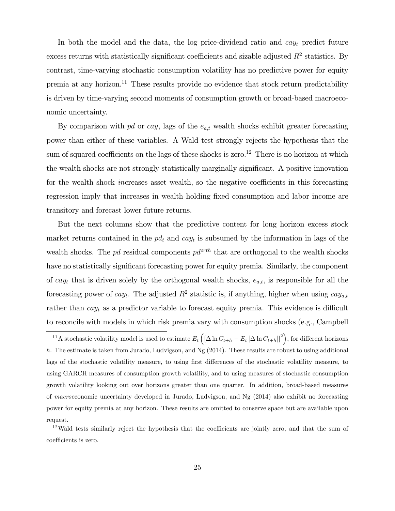In both the model and the data, the log price-dividend ratio and  $cay_t$  predict future excess returns with statistically significant coefficients and sizable adjusted  $R^2$  statistics. By contrast, time-varying stochastic consumption volatility has no predictive power for equity premia at any horizon.<sup>11</sup> These results provide no evidence that stock return predictability is driven by time-varying second moments of consumption growth or broad-based macroeconomic uncertainty.

By comparison with pd or cay, lags of the  $e_{a,t}$  wealth shocks exhibit greater forecasting power than either of these variables. A Wald test strongly rejects the hypothesis that the sum of squared coefficients on the lags of these shocks is zero.<sup>12</sup> There is no horizon at which the wealth shocks are not strongly statistically marginally significant. A positive innovation for the wealth shock *increases* asset wealth, so the negative coefficients in this forecasting regression imply that increases in wealth holding fixed consumption and labor income are transitory and forecast lower future returns.

But the next columns show that the predictive content for long horizon excess stock market returns contained in the  $pd_t$  and  $cay_t$  is subsumed by the information in lags of the wealth shocks. The pd residual components  $pd^{orth}$  that are orthogonal to the wealth shocks have no statistically significant forecasting power for equity premia. Similarly, the component of cay<sub>t</sub> that is driven solely by the orthogonal wealth shocks,  $e_{a,t}$ , is responsible for all the forecasting power of  $cay_t$ . The adjusted  $R^2$  statistic is, if anything, higher when using  $cay_{a,t}$ rather than  $cay_t$  as a predictor variable to forecast equity premia. This evidence is difficult to reconcile with models in which risk premia vary with consumption shocks (e.g., Campbell

 $12$ Wald tests similarly reject the hypothesis that the coefficients are jointly zero, and that the sum of coefficients is zero.

<sup>&</sup>lt;sup>11</sup>A stochastic volatility model is used to estimate  $E_t\left( [\Delta \ln C_{t+h} - E_t \left[ \Delta \ln C_{t+h} \right]]^2 \right)$ , for different horizons h. The estimate is taken from Jurado, Ludvigson, and Ng (2014). These results are robust to using additional lags of the stochastic volatility measure, to using first differences of the stochastic volatility measure, to using GARCH measures of consumption growth volatility, and to using measures of stochastic consumption growth volatility looking out over horizons greater than one quarter. In addition, broad-based measures of macroeconomic uncertainty developed in Jurado, Ludvigson, and Ng (2014) also exhibit no forecasting power for equity premia at any horizon. These results are omitted to conserve space but are available upon request.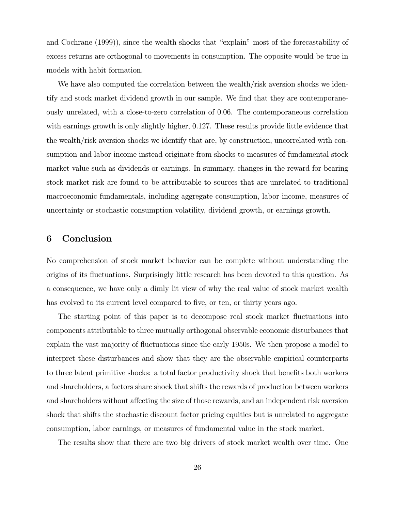and Cochrane  $(1999)$ , since the wealth shocks that "explain" most of the forecastability of excess returns are orthogonal to movements in consumption. The opposite would be true in models with habit formation.

We have also computed the correlation between the wealth/risk aversion shocks we identify and stock market dividend growth in our sample. We find that they are contemporaneously unrelated, with a close-to-zero correlation of 0.06. The contemporaneous correlation with earnings growth is only slightly higher, 0.127. These results provide little evidence that the wealth/risk aversion shocks we identify that are, by construction, uncorrelated with consumption and labor income instead originate from shocks to measures of fundamental stock market value such as dividends or earnings. In summary, changes in the reward for bearing stock market risk are found to be attributable to sources that are unrelated to traditional macroeconomic fundamentals, including aggregate consumption, labor income, measures of uncertainty or stochastic consumption volatility, dividend growth, or earnings growth.

# 6 Conclusion

No comprehension of stock market behavior can be complete without understanding the origins of its áuctuations. Surprisingly little research has been devoted to this question. As a consequence, we have only a dimly lit view of why the real value of stock market wealth has evolved to its current level compared to five, or ten, or thirty years ago.

The starting point of this paper is to decompose real stock market fluctuations into components attributable to three mutually orthogonal observable economic disturbances that explain the vast majority of fluctuations since the early 1950s. We then propose a model to interpret these disturbances and show that they are the observable empirical counterparts to three latent primitive shocks: a total factor productivity shock that benefits both workers and shareholders, a factors share shock that shifts the rewards of production between workers and shareholders without affecting the size of those rewards, and an independent risk aversion shock that shifts the stochastic discount factor pricing equities but is unrelated to aggregate consumption, labor earnings, or measures of fundamental value in the stock market.

The results show that there are two big drivers of stock market wealth over time. One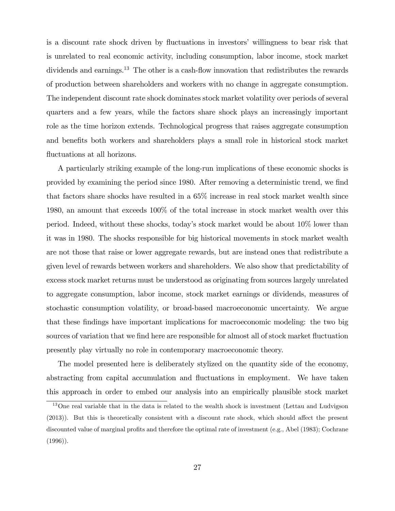is a discount rate shock driven by fluctuations in investors' willingness to bear risk that is unrelated to real economic activity, including consumption, labor income, stock market dividends and earnings.<sup>13</sup> The other is a cash-flow innovation that redistributes the rewards of production between shareholders and workers with no change in aggregate consumption. The independent discount rate shock dominates stock market volatility over periods of several quarters and a few years, while the factors share shock plays an increasingly important role as the time horizon extends. Technological progress that raises aggregate consumption and benefits both workers and shareholders plays a small role in historical stock market fluctuations at all horizons.

A particularly striking example of the long-run implications of these economic shocks is provided by examining the period since 1980. After removing a deterministic trend, we find that factors share shocks have resulted in a 65% increase in real stock market wealth since 1980, an amount that exceeds 100% of the total increase in stock market wealth over this period. Indeed, without these shocks, todayís stock market would be about 10% lower than it was in 1980. The shocks responsible for big historical movements in stock market wealth are not those that raise or lower aggregate rewards, but are instead ones that redistribute a given level of rewards between workers and shareholders. We also show that predictability of excess stock market returns must be understood as originating from sources largely unrelated to aggregate consumption, labor income, stock market earnings or dividends, measures of stochastic consumption volatility, or broad-based macroeconomic uncertainty. We argue that these Öndings have important implications for macroeconomic modeling: the two big sources of variation that we find here are responsible for almost all of stock market fluctuation presently play virtually no role in contemporary macroeconomic theory.

The model presented here is deliberately stylized on the quantity side of the economy, abstracting from capital accumulation and fluctuations in employment. We have taken this approach in order to embed our analysis into an empirically plausible stock market

<sup>13</sup>One real variable that in the data is related to the wealth shock is investment (Lettau and Ludvigson  $(2013)$ ). But this is theoretically consistent with a discount rate shock, which should affect the present discounted value of marginal profits and therefore the optimal rate of investment (e.g., Abel (1983); Cochrane  $(1996)$ .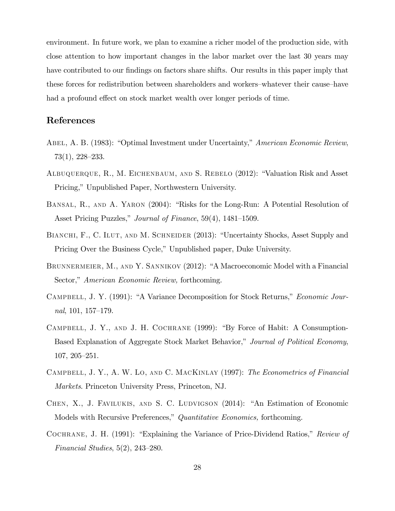environment. In future work, we plan to examine a richer model of the production side, with close attention to how important changes in the labor market over the last 30 years may have contributed to our findings on factors share shifts. Our results in this paper imply that these forces for redistribution between shareholders and workers–whatever their cause–have had a profound effect on stock market wealth over longer periods of time.

# References

- Abel, A. B. (1983): "Optimal Investment under Uncertainty," American Economic Review,  $73(1), 228-233.$
- ALBUQUERQUE, R., M. EICHENBAUM, AND S. REBELO (2012): "Valuation Risk and Asset Pricing," Unpublished Paper, Northwestern University.
- BANSAL, R., AND A. YARON (2004): "Risks for the Long-Run: A Potential Resolution of Asset Pricing Puzzles," Journal of Finance, 59(4), 1481–1509.
- BIANCHI, F., C. ILUT, AND M. SCHNEIDER (2013): "Uncertainty Shocks, Asset Supply and Pricing Over the Business Cycle," Unpublished paper, Duke University.
- BRUNNERMEIER, M., AND Y. SANNIKOV (2012): "A Macroeconomic Model with a Financial Sector," American Economic Review, forthcoming.
- CAMPBELL, J. Y. (1991): "A Variance Decomposition for Stock Returns," Economic Journal,  $101, 157-179.$
- CAMPBELL, J. Y., AND J. H. COCHRANE  $(1999)$ : "By Force of Habit: A Consumption-Based Explanation of Aggregate Stock Market Behavior," Journal of Political Economy,  $107, 205 - 251.$
- Campbell, J. Y., A. W. Lo, and C. MacKinlay (1997): The Econometrics of Financial Markets. Princeton University Press, Princeton, NJ.
- CHEN, X., J. FAVILUKIS, AND S. C. LUDVIGSON (2014): "An Estimation of Economic Models with Recursive Preferences," Quantitative Economics, forthcoming.
- COCHRANE, J. H.  $(1991)$ : "Explaining the Variance of Price-Dividend Ratios," Review of Financial Studies,  $5(2)$ ,  $243-280$ .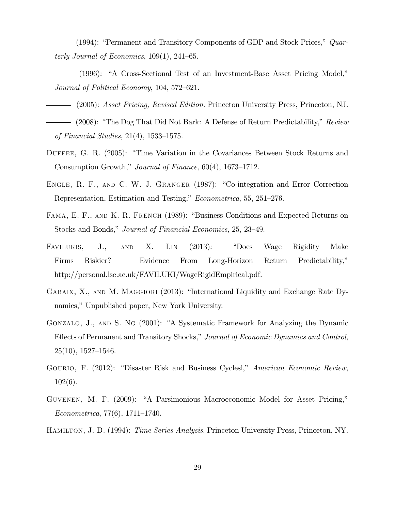- $-$  (1994): "Permanent and Transitory Components of GDP and Stock Prices,"  $Quar$ terly Journal of Economics,  $109(1)$ ,  $241-65$ .
- $(1996):$  "A Cross-Sectional Test of an Investment-Base Asset Pricing Model," Journal of Political Economy,  $104, 572-621$ .
- (2005): Asset Pricing, Revised Edition. Princeton University Press, Princeton, NJ.
- $-$  (2008): "The Dog That Did Not Bark: A Defense of Return Predictability," Review of Financial Studies,  $21(4)$ , 1533–1575.
- DUFFEE, G. R. (2005): "Time Variation in the Covariances Between Stock Returns and Consumption Growth," Journal of Finance,  $60(4)$ , 1673–1712.
- ENGLE, R. F., AND C. W. J. GRANGER (1987): "Co-integration and Error Correction Representation, Estimation and Testing," Econometrica, 55, 251–276.
- FAMA, E. F., AND K. R. FRENCH (1989): "Business Conditions and Expected Returns on Stocks and Bonds," Journal of Financial Economics, 25, 23-49.
- FAVILUKIS, J., AND X. LIN (2013): "Does Wage Rigidity Make Firms Riskier? Evidence From Long-Horizon Return Predictability," http://personal.lse.ac.uk/FAVILUKI/WageRigidEmpirical.pdf.
- GABAIX, X., AND M. MAGGIORI (2013): "International Liquidity and Exchange Rate Dynamics," Unpublished paper, New York University.
- GONZALO, J., AND S. NG (2001): "A Systematic Framework for Analyzing the Dynamic Effects of Permanent and Transitory Shocks," Journal of Economic Dynamics and Control,  $25(10)$ ,  $1527-1546$ .
- GOURIO, F. (2012): "Disaster Risk and Business Cyclesl," American Economic Review, 102(6).
- GUVENEN, M. F. (2009): "A Parsimonious Macroeconomic Model for Asset Pricing,"  $Econometrica, 77(6), 1711-1740.$

HAMILTON, J. D. (1994): *Time Series Analysis*. Princeton University Press, Princeton, NY.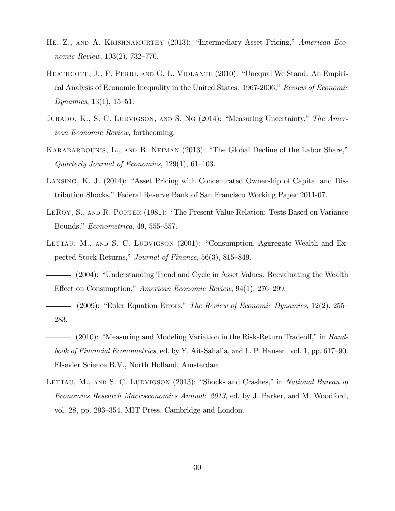- HE, Z., AND A. KRISHNAMURTHY (2013): "Intermediary Asset Pricing," American Economic Review,  $103(2)$ , 732-770.
- HEATHCOTE, J., F. PERRI, AND G. L. VIOLANTE (2010): "Unequal We Stand: An Empirical Analysis of Economic Inequality in the United States:  $1967-2006$ , Review of Economic Dynamics,  $13(1)$ ,  $15-51$ .
- JURADO, K., S. C. LUDVIGSON, AND S. NG  $(2014)$ : "Measuring Uncertainty," The American Economic Review, forthcoming.
- KARABARBOUNIS, L., AND B. NEIMAN (2013): "The Global Decline of the Labor Share," Quarterly Journal of Economics,  $129(1)$ , 61–103.
- LANSING, K. J. (2014): "Asset Pricing with Concentrated Ownership of Capital and Distribution Shocks," Federal Reserve Bank of San Francisco Working Paper 2011-07.
- LEROY, S., AND R. PORTER (1981): "The Present Value Relation: Tests Based on Variance Bounds,"  $Econometrica$ , 49, 555–557.
- LETTAU, M., AND S. C. LUDVIGSON  $(2001)$ : "Consumption, Aggregate Wealth and Expected Stock Returns," Journal of Finance, 56(3), 815–849.
- (2004): "Understanding Trend and Cycle in Asset Values: Reevaluating the Wealth Effect on Consumption," American Economic Review, 94(1), 276–299.
- (2009): "Euler Equation Errors," The Review of Economic Dynamics,  $12(2)$ ,  $255$ 283.
- $(2010)$ : "Measuring and Modeling Variation in the Risk-Return Tradeoff," in Handbook of Financial Econometrics, ed. by Y. Ait-Sahalia, and L. P. Hansen, vol. 1, pp. 617–90. Elsevier Science B.V., North Holland, Amsterdam.
- LETTAU, M., AND S. C. LUDVIGSON (2013): "Shocks and Crashes," in National Bureau of Economics Research Macroeconomics Annual: 2013, ed. by J. Parker, and M. Woodford, vol. 28, pp. 293–354. MIT Press, Cambridge and London.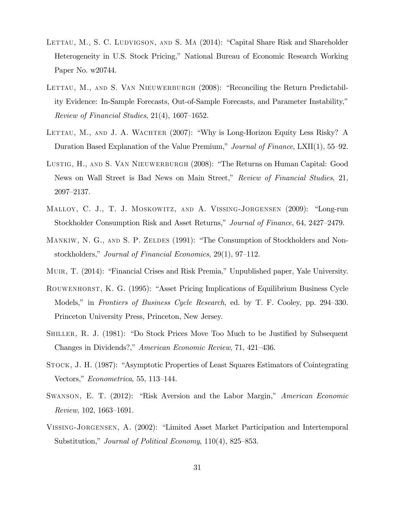- LETTAU, M., S. C. LUDVIGSON, AND S. MA (2014): "Capital Share Risk and Shareholder Heterogeneity in U.S. Stock Pricing," National Bureau of Economic Research Working Paper No. w20744.
- LETTAU, M., AND S. VAN NIEUWERBURGH (2008): "Reconciling the Return Predictability Evidence: In-Sample Forecasts, Out-of-Sample Forecasts, and Parameter Instability," Review of Financial Studies,  $21(4)$ , 1607–1652.
- LETTAU, M., AND J. A. WACHTER  $(2007)$ : "Why is Long-Horizon Equity Less Risky? A Duration Based Explanation of the Value Premium," Journal of Finance, LXII(1), 55–92.
- LUSTIG, H., AND S. VAN NIEUWERBURGH (2008): "The Returns on Human Capital: Good News on Wall Street is Bad News on Main Street," Review of Financial Studies, 21, 2097–2137.
- MALLOY, C. J., T. J. MOSKOWITZ, AND A. VISSING-JORGENSEN (2009): "Long-run Stockholder Consumption Risk and Asset Returns," Journal of Finance, 64, 2427–2479.
- MANKIW, N. G., AND S. P. ZELDES (1991): "The Consumption of Stockholders and Nonstockholders," Journal of Financial Economics, 29(1), 97–112.
- MUIR, T. (2014): "Financial Crises and Risk Premia," Unpublished paper, Yale University.
- ROUWENHORST, K. G. (1995): "Asset Pricing Implications of Equilibrium Business Cycle Models," in Frontiers of Business Cycle Research, ed. by T. F. Cooley, pp. 294–330. Princeton University Press, Princeton, New Jersey.
- SHILLER, R. J. (1981): "Do Stock Prices Move Too Much to be Justified by Subsequent Changes in Dividends?," American Economic Review, 71, 421-436.
- STOCK, J. H. (1987): "Asymptotic Properties of Least Squares Estimators of Cointegrating Vectors,"  $Econometrica$ , 55, 113–144.
- SWANSON, E. T. (2012): "Risk Aversion and the Labor Margin," American Economic  $Review, 102, 1663–1691.$
- VISSING-JORGENSEN, A. (2002): "Limited Asset Market Participation and Intertemporal Substitution," Journal of Political Economy,  $110(4)$ , 825–853.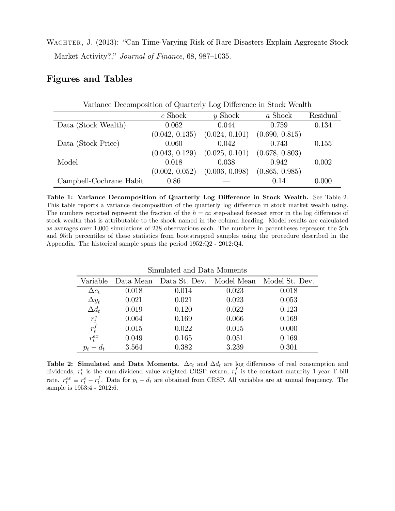WACHTER, J. (2013): "Can Time-Varying Risk of Rare Disasters Explain Aggregate Stock Market Activity?," Journal of Finance, 68, 987–1035.

# Figures and Tables

| Variance Decomposition of Quarterly Log Difference in Stock Wealth |                |                |                |          |  |  |  |
|--------------------------------------------------------------------|----------------|----------------|----------------|----------|--|--|--|
|                                                                    | $c$ Shock      | $y$ Shock      | a Shock        | Residual |  |  |  |
| Data (Stock Wealth)                                                | 0.062          | 0.044          | 0.759          | 0.134    |  |  |  |
|                                                                    | (0.042, 0.135) | (0.024, 0.101) | (0.690, 0.815) |          |  |  |  |
| Data (Stock Price)                                                 | 0.060          | 0.042          | 0.743          | 0.155    |  |  |  |
|                                                                    | (0.043, 0.129) | (0.025, 0.101) | (0.678, 0.803) |          |  |  |  |
| Model                                                              | 0.018          | 0.038          | 0.942          | 0.002    |  |  |  |
|                                                                    | (0.002, 0.052) | (0.006, 0.098) | (0.865, 0.985) |          |  |  |  |
| Campbell-Cochrane Habit                                            | 0.86           |                | 0.14           | 0.000    |  |  |  |

Table 1: Variance Decomposition of Quarterly Log Difference in Stock Wealth. See Table 2. This table reports a variance decomposition of the quarterly log difference in stock market wealth using. The numbers reported represent the fraction of the  $h = \infty$  step-ahead forecast error in the log difference of stock wealth that is attributable to the shock named in the column heading. Model results are calculated as averages over 1,000 simulations of 238 observations each. The numbers in parentheses represent the 5th and 95th percentiles of these statistics from bootstrapped samples using the procedure described in the Appendix. The historical sample spans the period 1952:Q2 - 2012:Q4.

| Simulated and Data Moments |  |
|----------------------------|--|
|                            |  |

| Variable     |       |       |       | Data Mean Data St. Dev. Model Mean Model St. Dev. |
|--------------|-------|-------|-------|---------------------------------------------------|
| $\Delta c_t$ | 0.018 | 0.014 | 0.023 | 0.018                                             |
| $\Delta y_t$ | 0.021 | 0.021 | 0.023 | 0.053                                             |
| $\Delta d_t$ | 0.019 | 0.120 | 0.022 | 0.123                                             |
| $r_t^e$      | 0.064 | 0.169 | 0.066 | 0.169                                             |
| $r_t^f$      | 0.015 | 0.022 | 0.015 | 0.000                                             |
| $r_t^{ex}$   | 0.049 | 0.165 | 0.051 | 0.169                                             |
| $p_t - d_t$  | 3.564 | 0.382 | 3.239 | 0.301                                             |

Table 2: Simulated and Data Moments.  $\Delta c_t$  and  $\Delta d_t$  are log differences of real consumption and dividends;  $r_t^e$  is the cum-dividend value-weighted CRSP return;  $r_t^f$  is the constant-maturity 1-year T-bill rate.  $r_t^{ex} \equiv r_t^e - r_t^f$ . Data for  $p_t - d_t$  are obtained from CRSP. All variables are at annual frequency. The sample is 1953:4 - 2012:6.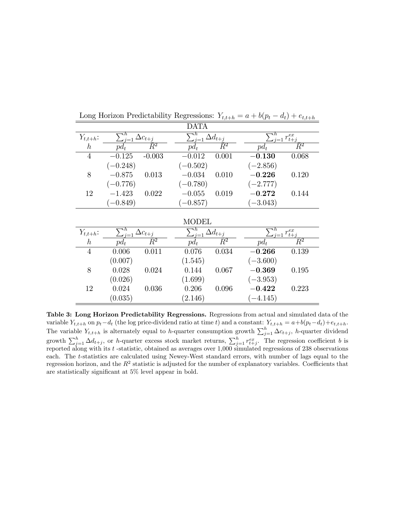|                |                               |                    | <b>DATA</b>                   |                               |              |                               |  |
|----------------|-------------------------------|--------------------|-------------------------------|-------------------------------|--------------|-------------------------------|--|
| $Y_{t,t+h}$ :  | $\sum_{j=1}^h \Delta c_{t+j}$ |                    | $\sum_{j=1}^h \Delta d_{t+j}$ |                               |              | $\sum_{j=1}^{n} r_{t+j}^{ex}$ |  |
| $\hbar$        | $pd_t$                        | $\overline{R}{}^2$ | $pd_t$                        | $\overline{R^2}$              | $pd_t$       | $\overline{R^2}$              |  |
| $\overline{4}$ | $-0.125$                      | $-0.003$           | $-0.012$                      | 0.001                         | $-0.130$     | 0.068                         |  |
|                | $(-0.248)$                    |                    | $(-0.502)$                    |                               | $(-2.856)$   |                               |  |
| 8              | $-0.875$                      | 0.013              | $-0.034$                      | 0.010                         | $-0.226$     | 0.120                         |  |
|                | $(-0.776)$                    |                    | $(-0.780)$                    |                               | $(-2.777)$   |                               |  |
| 12             | $-1.423$                      | 0.022              | $-0.055$                      | 0.019                         | $\bf -0.272$ | 0.144                         |  |
|                | $(-0.849)$                    |                    | $(-0.857)$                    |                               | $(-3.043)$   |                               |  |
|                |                               |                    |                               |                               |              |                               |  |
|                |                               |                    | <b>MODEL</b>                  |                               |              |                               |  |
| $Y_{t,t+h}$ :  | $\sum_{j=1}^h \Delta c_{t+j}$ |                    |                               | $\sum_{j=1}^h \Delta d_{t+j}$ |              | $\sum_{i=1}^h r_{t+j}^{ex}$   |  |
| $\hbar$        | $pd_t$                        | $\bar{R}^2$        | $pd_t$                        | $\bar{R}^2$                   | $pd_t$       | $\bar{R}^2$                   |  |
| $\overline{4}$ | 0.006                         | 0.011              | 0.076                         | 0.034                         | $-0.266$     | 0.139                         |  |
|                | (0.007)                       |                    | (1.545)                       |                               | $(-3.600)$   |                               |  |
| 8              | 0.028                         | 0.024              | 0.144                         | 0.067                         | $-0.369$     | 0.195                         |  |
|                | (0.026)                       |                    | (1.699)                       |                               | $(-3.953)$   |                               |  |
| 12             | 0.024                         | 0.036              | 0.206                         | 0.096                         | $-0.422$     | 0.223                         |  |
|                | (0.035)                       |                    | (2.146)                       |                               | $-4.145)$    |                               |  |

Long Horizon Predictability Regressions:  $Y_{t,t+h} = a + b(p_t - d_t) + e_{t,t+h}$ 

Table 3: Long Horizon Predictability Regressions. Regressions from actual and simulated data of the variable  $Y_{t,t+h}$  on  $p_t-d_t$  (the log price-dividend ratio at time t) and a constant:  $Y_{t,t+h} = a+b(p_t-d_t)+e_{t,t+h}$ . The variable  $Y_{t,t+h}$  is alternately equal to h-quarter consumption growth  $\sum_{j=1}^{h} \Delta c_{t+j}$ , h-quarter dividend growth  $\sum_{j=1}^{h} \Delta d_{t+j}$ , or h-quarter excess stock market returns,  $\sum_{j=1}^{h} r_{t+j}^{ex}$ . The regression coefficient b is reported along with its t -statistic, obtained as averages over 1,000 simulated regressions of 238 observations each. The t-statistics are calculated using Newey-West standard errors, with number of lags equal to the regression horizon, and the  $R^2$  statistic is adjusted for the number of explanatory variables. Coefficients that are statistically significant at  $5\%$  level appear in bold.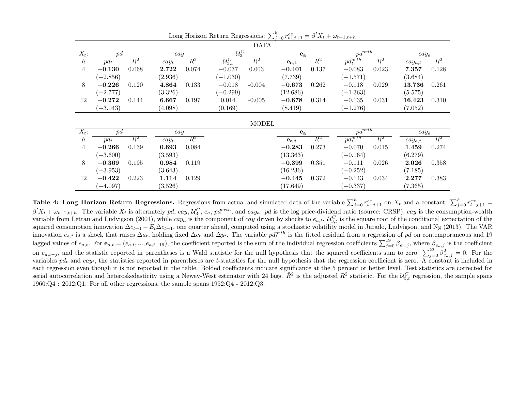| <b>DATA</b>    |            |                  |         |                  |                       |                  |                                      |                  |                        |                  |             |                    |
|----------------|------------|------------------|---------|------------------|-----------------------|------------------|--------------------------------------|------------------|------------------------|------------------|-------------|--------------------|
| $X_t$ :        | pd         |                  | cay     |                  | $\mathcal{U}_3^C$     |                  | $\mathbf{e}_a$                       |                  | $p\overline{d^{orth}}$ |                  | $cay_a$     |                    |
| h              | $pd_t$     | $\overline{R^2}$ | $cay_t$ | $\overline{R^2}$ | $\mathcal{U}_{3,t}^C$ | $\overline{R^2}$ | $\mathbf{e}_{\mathbf{a},\mathbf{t}}$ | $\overline{R^2}$ | $pd_t^{orth}$          | $\overline{R^2}$ | $cay_{a,t}$ | $\overline{R^2}$   |
| $\overline{4}$ | $-0.130$   | 0.068            | 2.722   | 0.074            | $-0.037$              | 0.003            | $-0.401$                             | 0.137            | $-0.083$               | 0.023            | 7.357       | 0.128              |
|                | $(-2.856)$ |                  | (2.936) |                  | $(-1.030)$            |                  | (7.739)                              |                  | $(-1.571)$             |                  | (3.684)     |                    |
| 8              | $-0.226$   | 0.120            | 4.864   | 0.133            | $-0.018$              | $-0.004$         | $-0.673$                             | 0.262            | $-0.118$               | 0.029            | 13.736      | 0.261              |
|                | $(-2.777)$ |                  | (3.326) |                  | $(-0.299)$            |                  | (12.686)                             |                  | $(-1.363)$             |                  | (5.575)     |                    |
| 12             | $-0.272$   | 0.144            | 6.667   | 0.197            | 0.014                 | $-0.005$         | $-0.678$                             | 0.314            | $-0.135$               | 0.031            | 16.423      | 0.310              |
|                | $(-3.043)$ |                  | (4.098) |                  | (0.169)               |                  | (8.419)                              |                  | $(-1.276)$             |                  | (7.052)     |                    |
|                |            |                  |         |                  |                       |                  |                                      |                  |                        |                  |             |                    |
|                |            |                  |         |                  |                       | <b>MODEL</b>     |                                      |                  |                        |                  |             |                    |
| $X_t$ :        | pd         |                  | cay     |                  |                       |                  | $e_{a}$                              |                  | $p\overline{d^{orth}}$ |                  | $cay_a$     |                    |
| h              | $pd_t$     | $\overline{R^2}$ | $cay_t$ | $\overline{R}^2$ |                       |                  | $e_{a,t}$                            | $\overline{R^2}$ | $pd_t^{orth}$          | $\overline{R^2}$ | $cay_{a,t}$ | $\overline{R}{}^2$ |
| $\overline{4}$ | $-0.266$   | 0.139            | 0.693   | 0.084            |                       |                  | $-0.283$                             | 0.273            | $-0.070$               | 0.015            | 1.459       | 0.274              |
|                | $(-3.600)$ |                  | (3.593) |                  |                       |                  | (13.363)                             |                  | $(-0.164)$             |                  | (6.279)     |                    |
| 8              | $-0.369$   | 0.195            | 0.984   | 0.119            |                       |                  | $-0.399$                             | 0.351            | $-0.111$               | 0.026            | 2.026       | 0.358              |
|                | $(-3.953)$ |                  | (3.643) |                  |                       |                  | (16.236)                             |                  | $(-0.252)$             |                  | (7.185)     |                    |
| 12             | $-0.422$   | 0.223            | 1.114   | 0.129            |                       |                  | $-0.445$                             | 0.372            | $-0.143$               | 0.034            | 2.277       | 0.383              |
|                | $(-4.097)$ |                  | (3.526) |                  |                       |                  | (17.649)                             |                  | $(-0.337)$             |                  | (7.365)     |                    |

Long Horizon Return Regressions:  $\sum_{j=0}^{h} r_{t+j+1}^{ex} = \beta' X_t + \omega_{t+1,t+h}$ 

Table 4: Long Horizon Return Regressions. Regressions from actual and simulated data of the variable  $\sum_{j=0}^{h} r_{t+j+1}^{ex}$  on  $X_t$  and a constant:  $\sum_{j=0}^{h} r_{t+j+1}^{ex}$  =  $\beta'X_t + \omega_{t+1,t+h}$ . The variable  $X_t$  is alternately pd, cay,  $\mathcal{U}_S^C$ ,  $e_a$ ,  $pd^{orth}$ , and cay<sub>a</sub>. pd is the log price-dividend ratio (source: CRSP). cay is the consumption-wealth variable from Lettau and Ludvigson (2001), while  $cay_a$  is the component of  $cay$  driven by shocks to  $e_{a,t}$ .  $\mathcal{U}_{3,t}^C$  is the square root of the conditional expectation of the squared consumption innovation  $\Delta c_{t+1} - E_t \Delta c_{t+1}$ , one quarter ahead, computed using a stochastic volatility model in Jurado, Ludvigson, and Ng (2013). The VAR innovation  $e_{a,t}$  is a shock that raises  $\Delta a_t$ , holding fixed  $\Delta c_t$  and  $\Delta y_t$ . The variable  $pd_t^{orth}$  is the fitted residual from a regression of pd on contemporaneous and 19 lagged values of  $e_{a,t}$ . For  $\mathbf{e}_{a,t} = (e_{a,t},...,e_{a,t-19})$ , the coefficient reported is the sum of the individual regression coefficients  $\sum_{j=0}^{19} \beta_{e_a,j}$ , where  $\beta_{e_a,j}$  is the coefficient on  $e_{a,t-j}$ , and the statistic reported in parentheses is a Wald statistic for the null hypothesis that the squared coefficients sum to zero:  $\sum_{j=0}^{23} \beta_{e_a,j}^2 = 0$ . For the variables  $pd_t$  and  $cay_t$ , the statistics reported in parentheses are t-statistics for the null hypothesis that the regression coefficient is zero. A constant is included in each regression even though it is not reported in the table. Bolded coefficients indicate significance at the 5 percent or better level. Test statistics are corrected for serial autocorrelation and heteroskedasticity using a Newey-West estimator with 24 lags.  $\bar{R}^2$  is the adjusted  $R^2$  statistic. For the  $\mathcal{U}_{3,t}^C$  regression, the sample spans  $1960:Q4:2012:Q1$ . For all other regressions, the sample spans  $1952:Q4$  -  $2012:Q3$ .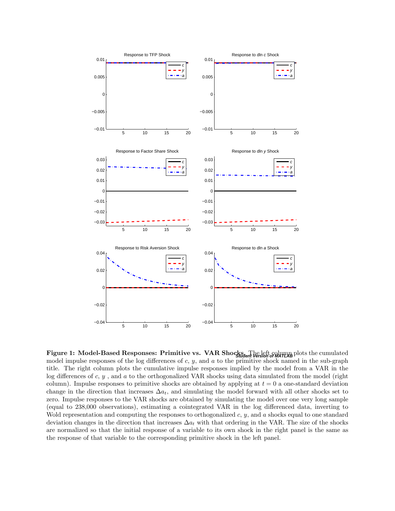

**Figure 1: Model-Based Responses: Primitive vs. VAR Shocks.** The left column plots the cumulated model impulse responses of the log differences of  $c, y$ , and  $a$  to the primitive shock named in the sub-graph title. The right column plots the cumulative impulse responses implied by the model from a VAR in the log differences of  $c, y$ , and  $a$  to the orthogonalized VAR shocks using data simulated from the model (right column). Impulse responses to primitive shocks are obtained by applying at  $t = 0$  a one-standard deviation change in the direction that increases  $\Delta a_t$ , and simulating the model forward with all other shocks set to zero. Impulse responses to the VAR shocks are obtained by simulating the model over one very long sample (equal to 238,000 observations), estimating a cointegrated VAR in the log differenced data, inverting to Wold representation and computing the responses to orthogonalized  $c, y$ , and a shocks equal to one standard deviation changes in the direction that increases  $\Delta a_t$  with that ordering in the VAR. The size of the shocks are normalized so that the initial response of a variable to its own shock in the right panel is the same as the response of that variable to the corresponding primitive shock in the left panel.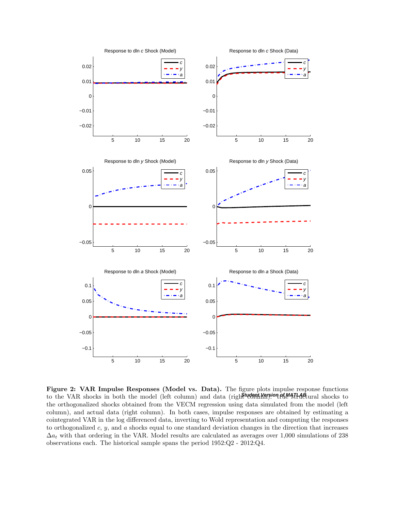

to the VAR shocks in both the model (left column) and data (right **version of MATLAB** ural shocks to Figure 2: VAR Impulse Responses (Model vs. Data). The figure plots impulse response functions the orthogonalized shocks obtained from the VECM regression using data simulated from the model (left column), and actual data (right column). In both cases, impulse responses are obtained by estimating a cointegrated VAR in the log differenced data, inverting to Wold representation and computing the responses to orthogonalized  $c, y$ , and  $a$  shocks equal to one standard deviation changes in the direction that increases  $\Delta a_t$  with that ordering in the VAR. Model results are calculated as averages over 1,000 simulations of 238 observations each. The historical sample spans the period 1952:Q2 - 2012:Q4.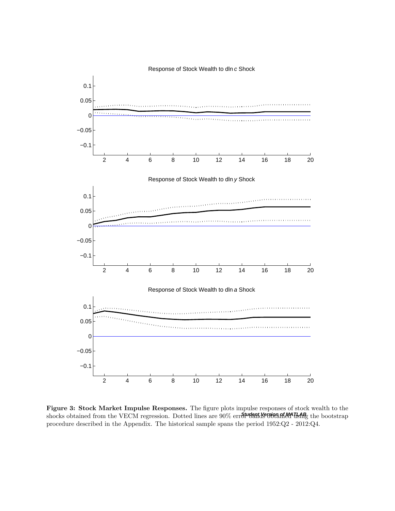

shocks obtained from the VECM regression. Dotted lines are 90% err**St<sup>urgent</sup>NetsionantMATLAB** the bootstrap Figure 3: Stock Market Impulse Responses. The figure plots impulse responses of stock wealth to the procedure described in the Appendix. The historical sample spans the period 1952:Q2 - 2012:Q4.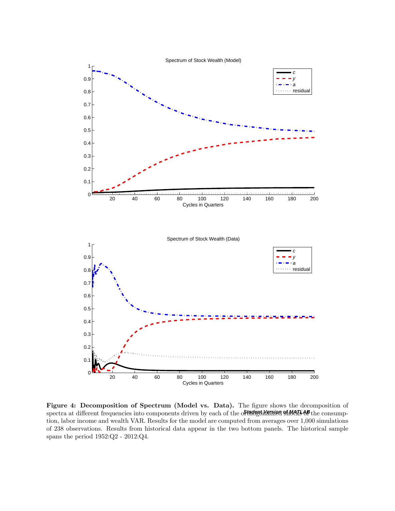

spectra at different frequencies into components driven by each of the o**ftudent learning shocks of** the consump-Figure 4: Decomposition of Spectrum (Model vs. Data). The figure shows the decomposition of tion, labor income and wealth VAR. Results for the model are computed from averages over 1,000 simulations of 238 observations. Results from historical data appear in the two bottom panels. The historical sample spans the period 1952:Q2 - 2012:Q4.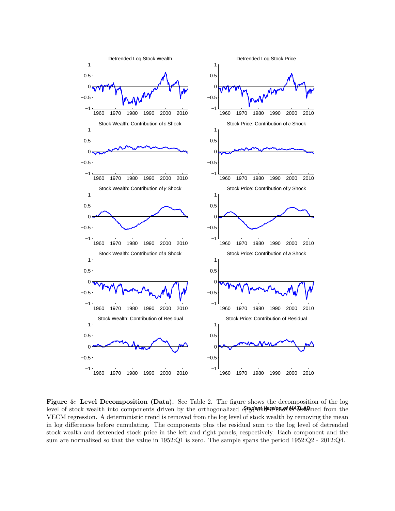

level of stock wealth into components driven by the orthogonalized costrain and a state of stock wealth into components driven by the orthogonalized  $\mathcal{E}$ , state signotic state from the Figure 5: Level Decomposition (Data). See Table 2. The figure shows the decomposition of the log VECM regression. A deterministic trend is removed from the log level of stock wealth by removing the mean in log differences before cumulating. The components plus the residual sum to the log level of detrended stock wealth and detrended stock price in the left and right panels, respectively. Each component and the sum are normalized so that the value in 1952:Q1 is zero. The sample spans the period 1952:Q2 - 2012:Q4.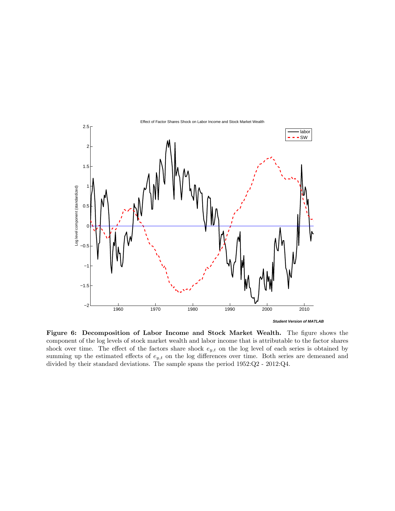

Figure 6: Decomposition of Labor Income and Stock Market Wealth. The figure shows the component of the log levels of stock market wealth and labor income that is attributable to the factor shares shock over time. The effect of the factors share shock  $e_{y,t}$  on the log level of each series is obtained by summing up the estimated effects of  $e_{y,t}$  on the log differences over time. Both series are demeaned and divided by their standard deviations. The sample spans the period 1952:Q2 - 2012:Q4.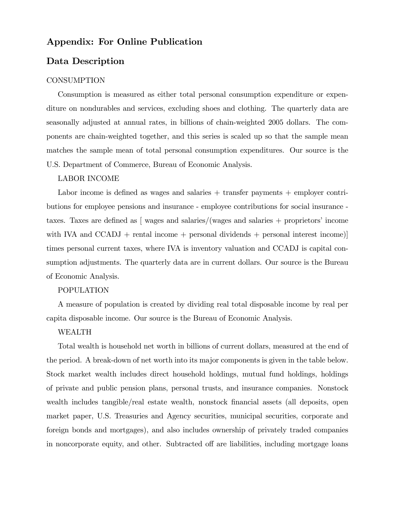# Appendix: For Online Publication

# Data Description

#### CONSUMPTION

Consumption is measured as either total personal consumption expenditure or expenditure on nondurables and services, excluding shoes and clothing. The quarterly data are seasonally adjusted at annual rates, in billions of chain-weighted 2005 dollars. The components are chain-weighted together, and this series is scaled up so that the sample mean matches the sample mean of total personal consumption expenditures. Our source is the U.S. Department of Commerce, Bureau of Economic Analysis.

#### LABOR INCOME

Labor income is defined as wages and salaries  $+$  transfer payments  $+$  employer contributions for employee pensions and insurance - employee contributions for social insurance taxes. Taxes are defined as  $\lceil$  wages and salaries/(wages and salaries  $+$  proprietors' income with IVA and  $CCADJ + \text{rental income} + \text{personal dividends} + \text{personal interest income})$ times personal current taxes, where IVA is inventory valuation and CCADJ is capital consumption adjustments. The quarterly data are in current dollars. Our source is the Bureau of Economic Analysis.

#### POPULATION

A measure of population is created by dividing real total disposable income by real per capita disposable income. Our source is the Bureau of Economic Analysis.

#### WEALTH

Total wealth is household net worth in billions of current dollars, measured at the end of the period. A break-down of net worth into its major components is given in the table below. Stock market wealth includes direct household holdings, mutual fund holdings, holdings of private and public pension plans, personal trusts, and insurance companies. Nonstock wealth includes tangible/real estate wealth, nonstock financial assets (all deposits, open market paper, U.S. Treasuries and Agency securities, municipal securities, corporate and foreign bonds and mortgages), and also includes ownership of privately traded companies in noncorporate equity, and other. Subtracted off are liabilities, including mortgage loans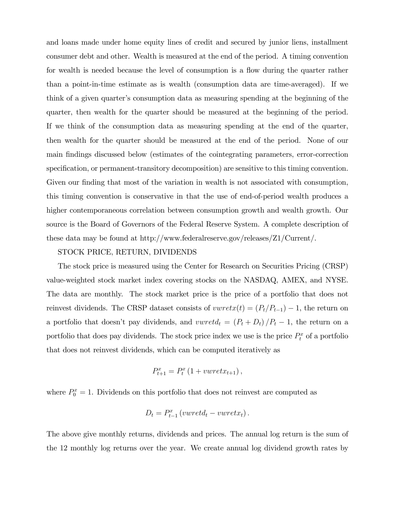and loans made under home equity lines of credit and secured by junior liens, installment consumer debt and other. Wealth is measured at the end of the period. A timing convention for wealth is needed because the level of consumption is a flow during the quarter rather than a point-in-time estimate as is wealth (consumption data are time-averaged). If we think of a given quarter's consumption data as measuring spending at the beginning of the quarter, then wealth for the quarter should be measured at the beginning of the period. If we think of the consumption data as measuring spending at the end of the quarter, then wealth for the quarter should be measured at the end of the period. None of our main Öndings discussed below (estimates of the cointegrating parameters, error-correction specification, or permanent-transitory decomposition) are sensitive to this timing convention. Given our finding that most of the variation in wealth is not associated with consumption, this timing convention is conservative in that the use of end-of-period wealth produces a higher contemporaneous correlation between consumption growth and wealth growth. Our source is the Board of Governors of the Federal Reserve System. A complete description of these data may be found at http://www.federalreserve.gov/releases/Z1/Current/.

#### STOCK PRICE, RETURN, DIVIDENDS

The stock price is measured using the Center for Research on Securities Pricing (CRSP) value-weighted stock market index covering stocks on the NASDAQ, AMEX, and NYSE. The data are monthly. The stock market price is the price of a portfolio that does not reinvest dividends. The CRSP dataset consists of  $v \text{wret}(t) = (P_t/P_{t-1}) - 1$ , the return on a portfolio that doesn't pay dividends, and  $vwret d_t = (P_t + D_t)/P_t - 1$ , the return on a portfolio that does pay dividends. The stock price index we use is the price  $P_t^x$  of a portfolio that does not reinvest dividends, which can be computed iteratively as

$$
P_{t+1}^x = P_t^x \left( 1 + v \mathbf{w} r e t x_{t+1} \right),
$$

where  $P_0^x = 1$ . Dividends on this portfolio that does not reinvest are computed as

D<sup>t</sup> = P x t1 (vwretd<sup>t</sup> vwretxt):

The above give monthly returns, dividends and prices. The annual log return is the sum of the 12 monthly log returns over the year. We create annual log dividend growth rates by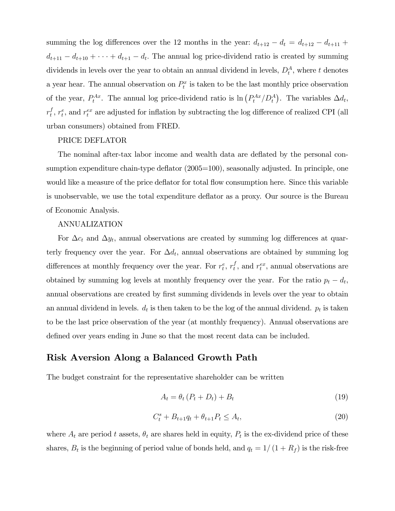summing the log differences over the 12 months in the year:  $d_{t+12} - d_t = d_{t+12} - d_{t+11} +$  $d_{t+11} - d_{t+10} + \cdots + d_{t+1} - d_t$ . The annual log price-dividend ratio is created by summing dividends in levels over the year to obtain an annual dividend in levels,  $D_t^A$ , where t denotes a year hear. The annual observation on  $P_t^x$  is taken to be the last monthly price observation of the year,  $P_t^{Ax}$ . The annual log price-dividend ratio is  $\ln (P_t^{Ax}/D_t^A)$ . The variables  $\Delta d_t$ ,  $r_t^f$  $t, r_t^e$ , and  $r_t^{ex}$  are adjusted for inflation by subtracting the log difference of realized CPI (all urban consumers) obtained from FRED.

#### PRICE DEFLATOR

The nominal after-tax labor income and wealth data are deflated by the personal consumption expenditure chain-type deflator (2005=100), seasonally adjusted. In principle, one would like a measure of the price deflator for total flow consumption here. Since this variable is unobservable, we use the total expenditure deáator as a proxy. Our source is the Bureau of Economic Analysis.

### ANNUALIZATION

For  $\Delta c_t$  and  $\Delta y_t$ , annual observations are created by summing log differences at quarterly frequency over the year. For  $\Delta d_t$ , annual observations are obtained by summing log differences at monthly frequency over the year. For  $r_t^e$ ,  $r_t^f$  $t_t^f$ , and  $r_t^{ex}$ , annual observations are obtained by summing log levels at monthly frequency over the year. For the ratio  $p_t - d_t$ , annual observations are created by first summing dividends in levels over the year to obtain an annual dividend in levels.  $d_t$  is then taken to be the log of the annual dividend.  $p_t$  is taken to be the last price observation of the year (at monthly frequency). Annual observations are defined over years ending in June so that the most recent data can be included.

# Risk Aversion Along a Balanced Growth Path

The budget constraint for the representative shareholder can be written

$$
A_t = \theta_t (P_t + D_t) + B_t \tag{19}
$$

$$
C_t^s + B_{t+1}q_t + \theta_{t+1}P_t \le A_t, \tag{20}
$$

where  $A_t$  are period t assets,  $\theta_t$  are shares held in equity,  $P_t$  is the ex-dividend price of these shares,  $B_t$  is the beginning of period value of bonds held, and  $q_t = 1/(1 + R_f)$  is the risk-free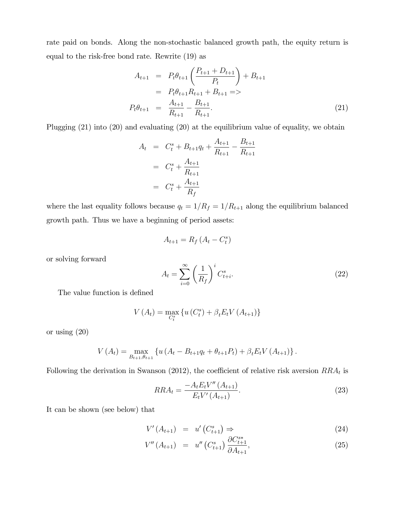rate paid on bonds. Along the non-stochastic balanced growth path, the equity return is equal to the risk-free bond rate. Rewrite (19) as

$$
A_{t+1} = P_t \theta_{t+1} \left( \frac{P_{t+1} + D_{t+1}}{P_t} \right) + B_{t+1}
$$
  
=  $P_t \theta_{t+1} R_{t+1} + B_{t+1} =>$   

$$
P_t \theta_{t+1} = \frac{A_{t+1}}{R_{t+1}} - \frac{B_{t+1}}{R_{t+1}}.
$$
 (21)

Plugging (21) into (20) and evaluating (20) at the equilibrium value of equality, we obtain

$$
A_t = C_t^s + B_{t+1}q_t + \frac{A_{t+1}}{R_{t+1}} - \frac{B_{t+1}}{R_{t+1}}
$$
  
=  $C_t^s + \frac{A_{t+1}}{R_{t+1}}$   
=  $C_t^s + \frac{A_{t+1}}{R_f}$ 

where the last equality follows because  $q_t = 1/R_f = 1/R_{t+1}$  along the equilibrium balanced growth path. Thus we have a beginning of period assets:

$$
A_{t+1} = R_f \left( A_t - C_t^s \right)
$$

or solving forward

$$
A_t = \sum_{i=0}^{\infty} \left(\frac{1}{R_f}\right)^i C_{t+i}^s.
$$
 (22)

The value function is defined

$$
V(A_t) = \max_{C_t^s} \{ u(C_t^s) + \beta_t E_t V(A_{t+1}) \}
$$

or using (20)

$$
V(A_t) = \max_{B_{t+1}, \theta_{t+1}} \left\{ u \left( A_t - B_{t+1} q_t + \theta_{t+1} P_t \right) + \beta_t E_t V \left( A_{t+1} \right) \right\}.
$$

Following the derivation in Swanson (2012), the coefficient of relative risk aversion  $RRA_t$  is

$$
RRA_t = \frac{-A_t E_t V''(A_{t+1})}{E_t V'(A_{t+1})}.
$$
\n(23)

It can be shown (see below) that

$$
V'(A_{t+1}) = u'(C_{t+1}^s) \Rightarrow \tag{24}
$$

$$
V''(A_{t+1}) = u''(C_{t+1}^s) \frac{\partial C_{t+1}^{s*}}{\partial A_{t+1}},
$$
\n(25)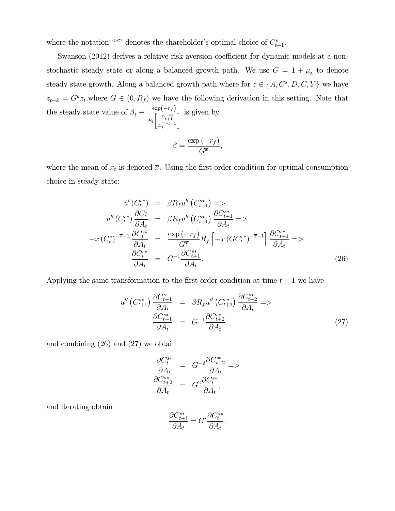where the notation "\*" denotes the shareholder's optimal choice of  $C_{t+1}^s$ .

Swanson (2012) derives a relative risk aversion coefficient for dynamic models at a nonstochastic steady state or along a balanced growth path. We use  $G = 1 + \mu_{\mathfrak{a}}$  to denote steady state growth. Along a balanced growth path where for  $z \in \{A, C^s, D, C, Y\}$  we have  $z_{t+k} = G^k z_t$ , where  $G \in (0, R_f)$  we have the following derivation in this setting. Note that the steady state value of  $\beta_t \equiv \frac{\exp(-r_f)}{\sqrt{\sum_{i=1}^{T} p_i^2}}$  $E_t$  $\left[ \begin{array}{c} D-t+1 \\ -L \end{array} \right]$  $\overline{D_t^{-x}t-1}$  $\frac{1}{1}$  is given by  $\beta = \frac{\exp(-r_f)}{C^{\pi}}$  $\frac{(y')}{G^{\overline{x}}}$ ,

where the mean of  $x_t$  is denoted  $\overline{x}$ . Using the first order condition for optimal consumption choice in steady state:

$$
u'(C_t^{s*}) = \beta R_f u''(C_{t+1}^{s*}) =>
$$
  
\n
$$
u''(C_t^{s*}) \frac{\partial C_t^s}{\partial A_t} = \beta R_f u''(C_{t+1}^{s*}) \frac{\partial C_{t+1}^{s*}}{\partial A_t} =>
$$
  
\n
$$
-\overline{x}(C_t^{s})^{-\overline{x}-1} \frac{\partial C_t^{s*}}{\partial A_t} = \frac{\exp(-r_f)}{G^{\overline{x}}} R_f \left[ -\overline{x}(GC_t^{s*})^{-\overline{x}-1} \right] \frac{\partial C_{t+1}^{s*}}{\partial A_t} =>
$$
  
\n
$$
\frac{\partial C_t^{s*}}{\partial A_t} = G^{-1} \frac{\partial C_{t+1}^{s*}}{\partial A_t}.
$$
 (26)

Applying the same transformation to the first order condition at time  $t + 1$  we have

$$
u''\left(C_{t+1}^{s*}\right) \frac{\partial C_{t+1}^s}{\partial A_t} = \beta R_f u''\left(C_{t+2}^{s*}\right) \frac{\partial C_{t+2}^{s*}}{\partial A_t} =>
$$
  

$$
\frac{\partial C_{t+1}^{s*}}{\partial A_t} = G^{-1} \frac{\partial C_{t+2}^{s*}}{\partial A_t}
$$
 (27)

and combining (26) and (27) we obtain

$$
\begin{array}{rcl}\n\frac{\partial C_t^{s*}}{\partial A_t} &=& G^{-2} \frac{\partial C_{t+2}^{s*}}{\partial A_t} = > \\
\frac{\partial C_{t+2}^{s*}}{\partial A_t} &=& G^2 \frac{\partial C_t^{s*}}{\partial A_t},\n\end{array}
$$

and iterating obtain

$$
\frac{\partial C_{t+i}^{s*}}{\partial A_t} = G^i \frac{\partial C_t^{s*}}{\partial A_t}.
$$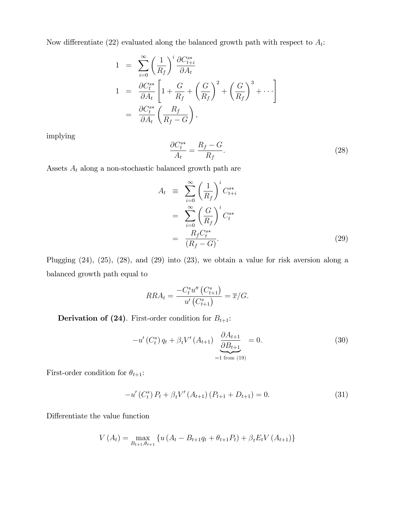Now differentiate (22) evaluated along the balanced growth path with respect to  $A_t$ :

$$
1 = \sum_{i=0}^{\infty} \left(\frac{1}{R_f}\right)^i \frac{\partial C_{t+i}^{s*}}{\partial A_t}
$$
  
\n
$$
1 = \frac{\partial C_t^{s*}}{\partial A_t} \left[1 + \frac{G}{R_f} + \left(\frac{G}{R_f}\right)^2 + \left(\frac{G}{R_f}\right)^3 + \cdots\right]
$$
  
\n
$$
= \frac{\partial C_t^{s*}}{\partial A_t} \left(\frac{R_f}{R_f - G}\right),
$$

implying

$$
\frac{\partial C_t^{s*}}{A_t} = \frac{R_f - G}{R_f}.\tag{28}
$$

Assets  $\mathcal{A}_t$  along a non-stochastic balanced growth path are

$$
A_t \equiv \sum_{i=0}^{\infty} \left(\frac{1}{R_f}\right)^i C_{t+i}^{s*}
$$
  

$$
= \sum_{i=0}^{\infty} \left(\frac{G}{R_f}\right)^i C_t^{s*}
$$
  

$$
= \frac{R_f C_t^{s*}}{(R_f - G)}.
$$
 (29)

Plugging (24), (25), (28), and (29) into (23), we obtain a value for risk aversion along a balanced growth path equal to

$$
RRA_t = \frac{-C_t^{s} u''(C_{t+1}^s)}{u'(C_{t+1}^s)} = \overline{x}/G.
$$

**Derivation of (24)**. First-order condition for  $B_{t+1}$ :

$$
-u'(C_t^s) q_t + \beta_t V'(A_{t+1}) \underbrace{\frac{\partial A_{t+1}}{\partial B_{t+1}}}_{=1 \text{ from (19)}} = 0. \tag{30}
$$

First-order condition for  $\theta_{t+1}$  :

$$
-u'(C_t^s) P_t + \beta_t V'(A_{t+1}) (P_{t+1} + D_{t+1}) = 0.
$$
\n(31)

Differentiate the value function

$$
V(A_t) = \max_{B_{t+1}, \theta_{t+1}} \left\{ u \left( A_t - B_{t+1} q_t + \theta_{t+1} P_t \right) + \beta_t E_t V \left( A_{t+1} \right) \right\}
$$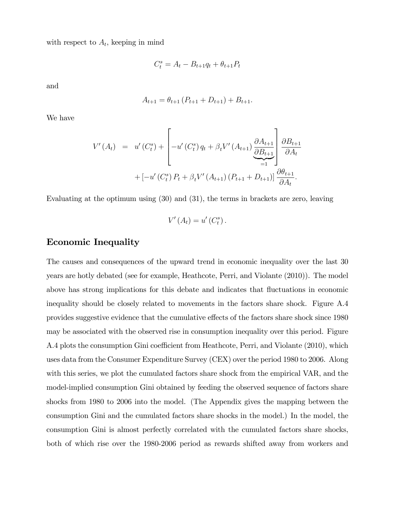with respect to  $A_t$ , keeping in mind

$$
C_t^s = A_t - B_{t+1}q_t + \theta_{t+1}P_t
$$

and

$$
A_{t+1} = \theta_{t+1} (P_{t+1} + D_{t+1}) + B_{t+1}.
$$

We have

$$
V'(A_t) = u'(C_t^s) + \left[ -u'(C_t^s) q_t + \beta_t V'(A_{t+1}) \underbrace{\frac{\partial A_{t+1}}{\partial B_{t+1}}}_{=1} \right] \underbrace{\frac{\partial B_{t+1}}{\partial A_t}}_{=1}
$$
  
+ 
$$
\left[ -u'(C_t^s) P_t + \beta_t V'(A_{t+1}) (P_{t+1} + D_{t+1}) \right] \underbrace{\frac{\partial \theta_{t+1}}{\partial A_t}}_{=1}.
$$

Evaluating at the optimum using (30) and (31), the terms in brackets are zero, leaving

$$
V'(A_t) = u'(C_t^s).
$$

# Economic Inequality

The causes and consequences of the upward trend in economic inequality over the last 30 years are hotly debated (see for example, Heathcote, Perri, and Violante (2010)). The model above has strong implications for this debate and indicates that fluctuations in economic inequality should be closely related to movements in the factors share shock. Figure A.4 provides suggestive evidence that the cumulative effects of the factors share shock since 1980 may be associated with the observed rise in consumption inequality over this period. Figure A.4 plots the consumption Gini coefficient from Heathcote, Perri, and Violante (2010), which uses data from the Consumer Expenditure Survey (CEX) over the period 1980 to 2006. Along with this series, we plot the cumulated factors share shock from the empirical VAR, and the model-implied consumption Gini obtained by feeding the observed sequence of factors share shocks from 1980 to 2006 into the model. (The Appendix gives the mapping between the consumption Gini and the cumulated factors share shocks in the model.) In the model, the consumption Gini is almost perfectly correlated with the cumulated factors share shocks, both of which rise over the 1980-2006 period as rewards shifted away from workers and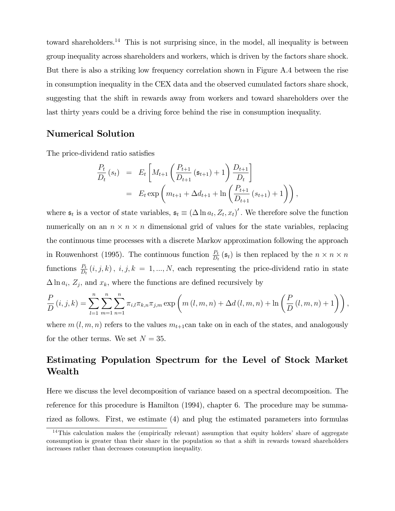toward shareholders.<sup>14</sup> This is not surprising since, in the model, all inequality is between group inequality across shareholders and workers, which is driven by the factors share shock. But there is also a striking low frequency correlation shown in Figure A.4 between the rise in consumption inequality in the CEX data and the observed cumulated factors share shock, suggesting that the shift in rewards away from workers and toward shareholders over the last thirty years could be a driving force behind the rise in consumption inequality.

# Numerical Solution

The price-dividend ratio satisfies

$$
\frac{P_t}{D_t}(s_t) = E_t \left[ M_{t+1} \left( \frac{P_{t+1}}{D_{t+1}} (\mathfrak{s}_{t+1}) + 1 \right) \frac{D_{t+1}}{D_t} \right]
$$
  
=  $E_t \exp \left( m_{t+1} + \Delta d_{t+1} + \ln \left( \frac{P_{t+1}}{D_{t+1}} (s_{t+1}) + 1 \right) \right),$ 

where  $\mathfrak{s}_t$  is a vector of state variables,  $\mathfrak{s}_t \equiv (\Delta \ln a_t, Z_t, x_t)'$ . We therefore solve the function numerically on an  $n \times n \times n$  dimensional grid of values for the state variables, replacing the continuous time processes with a discrete Markov approximation following the approach in Rouwenhorst (1995). The continuous function  $\frac{P_t}{D_t}(\mathfrak{s}_t)$  is then replaced by the  $n \times n \times n$ functions  $\frac{P_t}{D_t}(i,j,k), i,j,k = 1,...,N$ , each representing the price-dividend ratio in state  $\Delta \ln a_i$ ,  $Z_j$ , and  $x_k$ , where the functions are defined recursively by

$$
\frac{P}{D}(i,j,k) = \sum_{l=1}^{n} \sum_{m=1}^{n} \sum_{n=1}^{n} \pi_{i,l} \pi_{k,n} \pi_{j,m} \exp\left(m(l,m,n) + \Delta d(l,m,n) + \ln\left(\frac{P}{D}(l,m,n) + 1\right)\right),
$$

where  $m(l, m, n)$  refers to the values  $m_{t+1}$ can take on in each of the states, and analogously for the other terms. We set  $N = 35$ .

# Estimating Population Spectrum for the Level of Stock Market Wealth

Here we discuss the level decomposition of variance based on a spectral decomposition. The reference for this procedure is Hamilton (1994), chapter 6. The procedure may be summarized as follows. First, we estimate (4) and plug the estimated parameters into formulas

 $14$ This calculation makes the (empirically relevant) assumption that equity holders' share of aggregate consumption is greater than their share in the population so that a shift in rewards toward shareholders increases rather than decreases consumption inequality.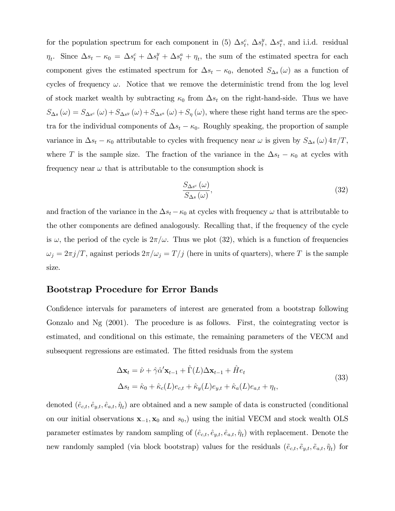for the population spectrum for each component in (5)  $\Delta s_t^c$ ,  $\Delta s_t^y$  $t^y$ ,  $\Delta s^a_t$ , and i.i.d. residual  $\eta_t$ . Since  $\Delta s_t - \kappa_0 = \Delta s_t^c + \Delta s_t^y + \Delta s_t^a + \eta_t$ , the sum of the estimated spectra for each component gives the estimated spectrum for  $\Delta s_t - \kappa_0$ , denoted  $S_{\Delta s}(\omega)$  as a function of cycles of frequency  $\omega$ . Notice that we remove the deterministic trend from the log level of stock market wealth by subtracting  $\kappa_0$  from  $\Delta s_t$  on the right-hand-side. Thus we have  $S_{\Delta s}(\omega) = S_{\Delta s^{c}}(\omega) + S_{\Delta s^{y}}(\omega) + S_{\Delta s^{a}}(\omega) + S_{\eta}(\omega)$ , where these right hand terms are the spectra for the individual components of  $\Delta s_t - \kappa_0$ . Roughly speaking, the proportion of sample variance in  $\Delta s_t - \kappa_0$  attributable to cycles with frequency near  $\omega$  is given by  $S_{\Delta s}(\omega) 4\pi/T$ , where T is the sample size. The fraction of the variance in the  $\Delta s_t - \kappa_0$  at cycles with frequency near  $\omega$  that is attributable to the consumption shock is

$$
\frac{S_{\Delta s^{c}}(\omega)}{S_{\Delta s}(\omega)},\tag{32}
$$

and fraction of the variance in the  $\Delta s_t - \kappa_0$  at cycles with frequency  $\omega$  that is attributable to the other components are defined analogously. Recalling that, if the frequency of the cycle is  $\omega$ , the period of the cycle is  $2\pi/\omega$ . Thus we plot (32), which is a function of frequencies  $\omega_j=2\pi j/T$ , against periods  $2\pi/\omega_j=T/j$  (here in units of quarters), where T is the sample size.

### Bootstrap Procedure for Error Bands

Confidence intervals for parameters of interest are generated from a bootstrap following Gonzalo and Ng (2001). The procedure is as follows. First, the cointegrating vector is estimated, and conditional on this estimate, the remaining parameters of the VECM and subsequent regressions are estimated. The fitted residuals from the system

$$
\Delta \mathbf{x}_t = \hat{\nu} + \hat{\gamma} \hat{\alpha}' \mathbf{x}_{t-1} + \hat{\Gamma}(L) \Delta \mathbf{x}_{t-1} + \hat{H} e_t
$$
  
\n
$$
\Delta s_t = \hat{\kappa}_0 + \hat{\kappa}_c(L) e_{c,t} + \hat{\kappa}_y(L) e_{y,t} + \hat{\kappa}_a(L) e_{a,t} + \eta_t,
$$
\n(33)

denoted  $(\hat{e}_{c,t}, \hat{e}_{y,t}, \hat{e}_{a,t}, \hat{\eta}_t)$  are obtained and a new sample of data is constructed (conditional on our initial observations  $x_{-1}$ ,  $x_0$  and  $s_0$ , using the initial VECM and stock wealth OLS parameter estimates by random sampling of  $(\hat{e}_{c,t}, \hat{e}_{y,t}, \hat{e}_{a,t}, \hat{\eta}_t)$  with replacement. Denote the new randomly sampled (via block bootstrap) values for the residuals  $(\tilde{e}_{c,t}, \tilde{e}_{y,t}, \tilde{e}_{a,t}, \tilde{\eta}_t)$  for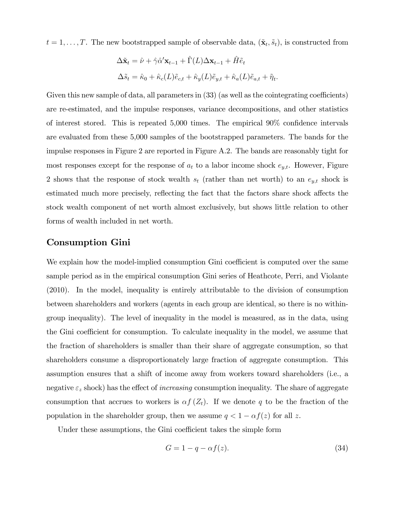$t = 1, \ldots, T$ . The new bootstrapped sample of observable data,  $(\tilde{\mathbf{x}}_t, \tilde{s}_t)$ , is constructed from

$$
\Delta \tilde{\mathbf{x}}_t = \hat{\nu} + \hat{\gamma} \hat{\alpha}' \mathbf{x}_{t-1} + \hat{\Gamma}(L) \Delta \mathbf{x}_{t-1} + \hat{H} \tilde{e}_t
$$
  

$$
\Delta \tilde{s}_t = \hat{\kappa}_0 + \hat{\kappa}_c(L) \tilde{e}_{c,t} + \hat{\kappa}_y(L) \tilde{e}_{y,t} + \hat{\kappa}_a(L) \tilde{e}_{a,t} + \tilde{\eta}_t.
$$

Given this new sample of data, all parameters in  $(33)$  (as well as the cointegrating coefficients) are re-estimated, and the impulse responses, variance decompositions, and other statistics of interest stored. This is repeated  $5,000$  times. The empirical  $90\%$  confidence intervals are evaluated from these 5,000 samples of the bootstrapped parameters. The bands for the impulse responses in Figure 2 are reported in Figure A.2. The bands are reasonably tight for most responses except for the response of  $a_t$  to a labor income shock  $e_{y,t}$ . However, Figure 2 shows that the response of stock wealth  $s_t$  (rather than net worth) to an  $e_{y,t}$  shock is estimated much more precisely, reflecting the fact that the factors share shock affects the stock wealth component of net worth almost exclusively, but shows little relation to other forms of wealth included in net worth.

# Consumption Gini

We explain how the model-implied consumption Gini coefficient is computed over the same sample period as in the empirical consumption Gini series of Heathcote, Perri, and Violante (2010). In the model, inequality is entirely attributable to the division of consumption between shareholders and workers (agents in each group are identical, so there is no withingroup inequality). The level of inequality in the model is measured, as in the data, using the Gini coefficient for consumption. To calculate inequality in the model, we assume that the fraction of shareholders is smaller than their share of aggregate consumption, so that shareholders consume a disproportionately large fraction of aggregate consumption. This assumption ensures that a shift of income away from workers toward shareholders (i.e., a negative  $\varepsilon_z$  shock) has the effect of *increasing* consumption inequality. The share of aggregate consumption that accrues to workers is  $\alpha f(Z_t)$ . If we denote q to be the fraction of the population in the shareholder group, then we assume  $q < 1 - \alpha f(z)$  for all z.

Under these assumptions, the Gini coefficient takes the simple form

$$
G = 1 - q - \alpha f(z). \tag{34}
$$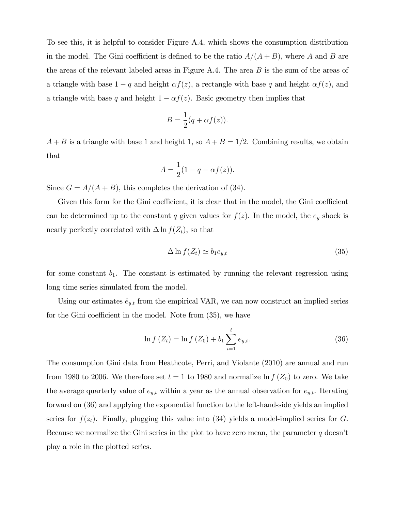To see this, it is helpful to consider Figure A.4, which shows the consumption distribution in the model. The Gini coefficient is defined to be the ratio  $A/(A + B)$ , where A and B are the areas of the relevant labeled areas in Figure A.4. The area  $B$  is the sum of the areas of a triangle with base  $1 - q$  and height  $\alpha f(z)$ , a rectangle with base q and height  $\alpha f(z)$ , and a triangle with base q and height  $1 - \alpha f(z)$ . Basic geometry then implies that

$$
B = \frac{1}{2}(q + \alpha f(z)).
$$

 $A + B$  is a triangle with base 1 and height 1, so  $A + B = 1/2$ . Combining results, we obtain that

$$
A = \frac{1}{2}(1 - q - \alpha f(z)).
$$

Since  $G = A/(A + B)$ , this completes the derivation of (34).

Given this form for the Gini coefficient, it is clear that in the model, the Gini coefficient can be determined up to the constant q given values for  $f(z)$ . In the model, the  $e_y$  shock is nearly perfectly correlated with  $\Delta \ln f(Z_t)$ , so that

$$
\Delta \ln f(Z_t) \simeq b_1 e_{y,t} \tag{35}
$$

for some constant  $b_1$ . The constant is estimated by running the relevant regression using long time series simulated from the model.

Using our estimates  $\hat{e}_{y,t}$  from the empirical VAR, we can now construct an implied series for the Gini coefficient in the model. Note from  $(35)$ , we have

$$
\ln f\left(Z_t\right) = \ln f\left(Z_0\right) + b_1 \sum_{i=1}^t e_{y,i}.\tag{36}
$$

The consumption Gini data from Heathcote, Perri, and Violante (2010) are annual and run from 1980 to 2006. We therefore set  $t = 1$  to 1980 and normalize  $\ln f(Z_0)$  to zero. We take the average quarterly value of  $e_{y,t}$  within a year as the annual observation for  $e_{y,t}$ . Iterating forward on (36) and applying the exponential function to the left-hand-side yields an implied series for  $f(z_t)$ . Finally, plugging this value into (34) yields a model-implied series for G. Because we normalize the Gini series in the plot to have zero mean, the parameter  $q$  doesn't play a role in the plotted series.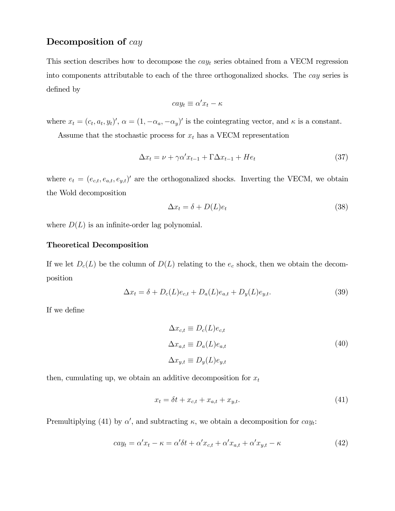# Decomposition of cay

This section describes how to decompose the  $cay_t$  series obtained from a VECM regression into components attributable to each of the three orthogonalized shocks. The cay series is defined by

$$
cay_t \equiv \alpha'x_t - \kappa
$$

where  $x_t = (c_t, a_t, y_t)'$ ,  $\alpha = (1, -\alpha_a, -\alpha_y)'$  is the cointegrating vector, and  $\kappa$  is a constant.

Assume that the stochastic process for  $x_t$  has a VECM representation

$$
\Delta x_t = \nu + \gamma \alpha' x_{t-1} + \Gamma \Delta x_{t-1} + He_t \tag{37}
$$

where  $e_t = (e_{c,t}, e_{a,t}, e_{y,t})'$  are the orthogonalized shocks. Inverting the VECM, we obtain the Wold decomposition

$$
\Delta x_t = \delta + D(L)e_t \tag{38}
$$

where  $D(L)$  is an infinite-order lag polynomial.

#### Theoretical Decomposition

If we let  $D_c(L)$  be the column of  $D(L)$  relating to the  $e_c$  shock, then we obtain the decomposition

$$
\Delta x_t = \delta + D_c(L)e_{c,t} + D_a(L)e_{a,t} + D_y(L)e_{y,t}.
$$
\n(39)

If we define

$$
\Delta x_{c,t} \equiv D_c(L)e_{c,t}
$$
  
\n
$$
\Delta x_{a,t} \equiv D_a(L)e_{a,t}
$$
  
\n
$$
\Delta x_{y,t} \equiv D_y(L)e_{y,t}
$$
\n(40)

then, cumulating up, we obtain an additive decomposition for  $x_t$ 

$$
x_t = \delta t + x_{c,t} + x_{a,t} + x_{y,t}.\tag{41}
$$

Premultiplying (41) by  $\alpha'$ , and subtracting  $\kappa$ , we obtain a decomposition for  $cay_t$ :

$$
cay_t = \alpha'x_t - \kappa = \alpha'\delta t + \alpha'x_{c,t} + \alpha'x_{a,t} + \alpha'x_{y,t} - \kappa
$$
\n<sup>(42)</sup>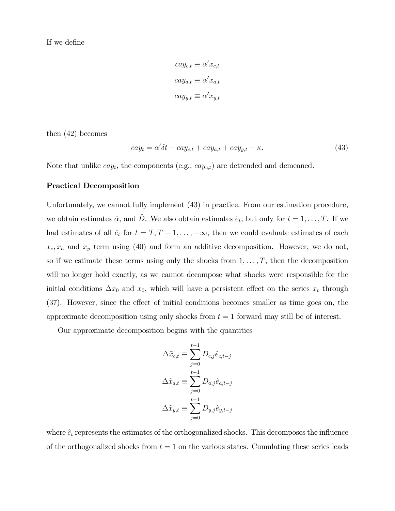If we define

$$
cay_{c,t} \equiv \alpha' x_{c,t}
$$

$$
cay_{a,t} \equiv \alpha' x_{a,t}
$$

$$
cay_{y,t} \equiv \alpha' x_{y,t}
$$

then (42) becomes

$$
cay_t = \alpha' \delta t + cay_{c,t} + cay_{a,t} + cay_{y,t} - \kappa.
$$
\n
$$
(43)
$$

Note that unlike  $cay_t$ , the components (e.g.,  $cay_{c,t}$ ) are detrended and demeaned.

#### Practical Decomposition

Unfortunately, we cannot fully implement (43) in practice. From our estimation procedure, we obtain estimates  $\hat{\alpha}$ , and  $\hat{D}$ . We also obtain estimates  $\hat{e}_t$ , but only for  $t = 1, \ldots, T$ . If we had estimates of all  $\hat{e}_t$  for  $t = T, T - 1, \ldots, -\infty$ , then we could evaluate estimates of each  $x_c, x_a$  and  $x_y$  term using (40) and form an additive decomposition. However, we do not, so if we estimate these terms using only the shocks from  $1, \ldots, T$ , then the decomposition will no longer hold exactly, as we cannot decompose what shocks were responsible for the initial conditions  $\Delta x_0$  and  $x_0$ , which will have a persistent effect on the series  $x_t$  through (37). However, since the effect of initial conditions becomes smaller as time goes on, the approximate decomposition using only shocks from  $t = 1$  forward may still be of interest.

Our approximate decomposition begins with the quantities

$$
\Delta \tilde{x}_{c,t} \equiv \sum_{j=0}^{t-1} D_{c,j} \hat{e}_{c,t-j}
$$

$$
\Delta \tilde{x}_{a,t} \equiv \sum_{j=0}^{t-1} D_{a,j} \hat{e}_{a,t-j}
$$

$$
\Delta \tilde{x}_{y,t} \equiv \sum_{j=0}^{t-1} D_{y,j} \hat{e}_{y,t-j}
$$

where  $\hat{e}_t$  represents the estimates of the orthogonalized shocks. This decomposes the influence of the orthogonalized shocks from  $t = 1$  on the various states. Cumulating these series leads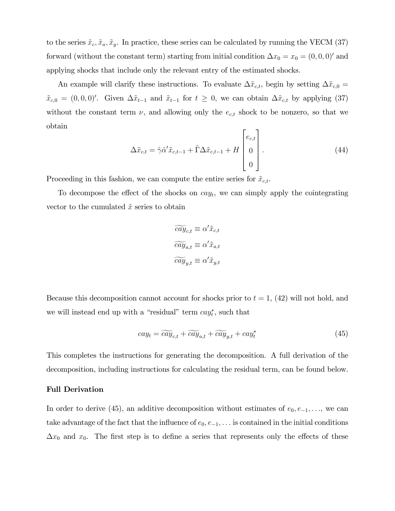to the series  $\tilde{x}_c, \tilde{x}_a, \tilde{x}_y$ . In practice, these series can be calculated by running the VECM (37) forward (without the constant term) starting from initial condition  $\Delta x_0 = x_0 = (0, 0, 0)$  and applying shocks that include only the relevant entry of the estimated shocks.

An example will clarify these instructions. To evaluate  $\Delta \tilde{x}_{c,t}$ , begin by setting  $\Delta \tilde{x}_{c,0} =$  $\tilde{x}_{c,0} = (0,0,0)'$ . Given  $\Delta \tilde{x}_{t-1}$  and  $\tilde{x}_{t-1}$  for  $t \geq 0$ , we can obtain  $\Delta \tilde{x}_{c,t}$  by applying (37) without the constant term  $\nu$ , and allowing only the  $e_{c,t}$  shock to be nonzero, so that we obtain

$$
\Delta \tilde{x}_{c,t} = \hat{\gamma} \hat{\alpha}' \tilde{x}_{c,t-1} + \hat{\Gamma} \Delta \tilde{x}_{c,t-1} + H \begin{bmatrix} e_{c,t} \\ 0 \\ 0 \end{bmatrix} . \tag{44}
$$

Proceeding in this fashion, we can compute the entire series for  $\tilde{x}_{c,t}$ .

To decompose the effect of the shocks on  $cay_t$ , we can simply apply the cointegrating vector to the cumulated  $\tilde{x}$  series to obtain

$$
\widetilde{cay}_{c,t} \equiv \alpha' \tilde{x}_{c,t}
$$

$$
\widetilde{cay}_{a,t} \equiv \alpha' \tilde{x}_{a,t}
$$

$$
\widetilde{cay}_{y,t} \equiv \alpha' \tilde{x}_{y,t}
$$

Because this decomposition cannot account for shocks prior to  $t = 1$ , (42) will not hold, and we will instead end up with a "residual" term  $cay_t^*$ , such that

$$
cay_t = \widetilde{cay}_{c,t} + \widetilde{cay}_{a,t} + \widetilde{cay}_{y,t} + cay_t^* \tag{45}
$$

This completes the instructions for generating the decomposition. A full derivation of the decomposition, including instructions for calculating the residual term, can be found below.

#### Full Derivation

In order to derive (45), an additive decomposition without estimates of  $e_0, e_{-1}, \ldots$ , we can take advantage of the fact that the influence of  $e_0, e_{-1}, \ldots$  is contained in the initial conditions  $\Delta x_0$  and  $x_0$ . The first step is to define a series that represents only the effects of these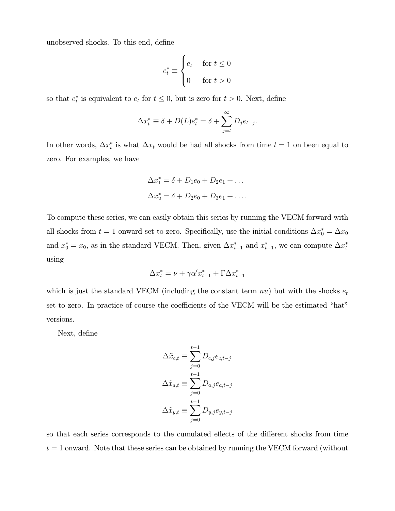unobserved shocks. To this end, define

$$
e_t^* \equiv \begin{cases} e_t & \text{for } t \le 0 \\ 0 & \text{for } t > 0 \end{cases}
$$

so that  $e_t^*$  is equivalent to  $e_t$  for  $t \leq 0$ , but is zero for  $t > 0$ . Next, define

$$
\Delta x_t^* \equiv \delta + D(L)e_t^* = \delta + \sum_{j=t}^{\infty} D_j e_{t-j}.
$$

In other words,  $\Delta x_t^*$  is what  $\Delta x_t$  would be had all shocks from time  $t = 1$  on been equal to zero. For examples, we have

$$
\Delta x_1^* = \delta + D_1 e_0 + D_2 e_1 + \dots
$$
  

$$
\Delta x_2^* = \delta + D_2 e_0 + D_3 e_1 + \dots
$$

To compute these series, we can easily obtain this series by running the VECM forward with all shocks from  $t = 1$  onward set to zero. Specifically, use the initial conditions  $\Delta x_0^* = \Delta x_0$ and  $x_0^* = x_0$ , as in the standard VECM. Then, given  $\Delta x_{t-1}^*$  and  $x_{t-1}^*$ , we can compute  $\Delta x_t^*$ using

$$
\Delta x_t^* = \nu + \gamma \alpha' x_{t-1}^* + \Gamma \Delta x_{t-1}^*
$$

which is just the standard VECM (including the constant term  $nu$ ) but with the shocks  $e_t$ set to zero. In practice of course the coefficients of the VECM will be the estimated "hat" versions.

Next, define

$$
\Delta \tilde{x}_{c,t} \equiv \sum_{j=0}^{t-1} D_{c,j} e_{c,t-j}
$$

$$
\Delta \tilde{x}_{a,t} \equiv \sum_{j=0}^{t-1} D_{a,j} e_{a,t-j}
$$

$$
\Delta \tilde{x}_{y,t} \equiv \sum_{j=0}^{t-1} D_{y,j} e_{y,t-j}
$$

so that each series corresponds to the cumulated effects of the different shocks from time  $t = 1$  onward. Note that these series can be obtained by running the VECM forward (without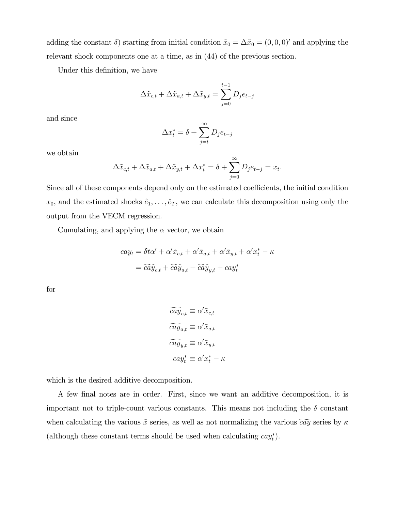adding the constant  $\delta$ ) starting from initial condition  $\tilde{x}_0 = \Delta \tilde{x}_0 = (0, 0, 0)$  and applying the relevant shock components one at a time, as in (44) of the previous section.

Under this definition, we have

$$
\Delta \tilde{x}_{c,t} + \Delta \tilde{x}_{a,t} + \Delta \tilde{x}_{y,t} = \sum_{j=0}^{t-1} D_j e_{t-j}
$$

and since

$$
\Delta x_t^* = \delta + \sum_{j=t}^{\infty} D_j e_{t-j}
$$

we obtain

$$
\Delta \tilde{x}_{c,t} + \Delta \tilde{x}_{a,t} + \Delta \tilde{x}_{y,t} + \Delta x_t^* = \delta + \sum_{j=0}^{\infty} D_j e_{t-j} = x_t.
$$

Since all of these components depend only on the estimated coefficients, the initial condition  $x_0$ , and the estimated shocks  $\hat{e}_1, \ldots, \hat{e}_T$ , we can calculate this decomposition using only the output from the VECM regression.

Cumulating, and applying the  $\alpha$  vector, we obtain

$$
cay_t = \delta t\alpha' + \alpha'\tilde{x}_{c,t} + \alpha'\tilde{x}_{a,t} + \alpha'\tilde{x}_{y,t} + \alpha'x_t^* - \kappa
$$

$$
= \widetilde{cay}_{c,t} + \widetilde{cay}_{a,t} + \widetilde{cay}_{y,t} + \alpha y_t^*
$$

for

$$
\widetilde{cay}_{c,t} \equiv \alpha' \tilde{x}_{c,t}
$$

$$
\widetilde{cay}_{a,t} \equiv \alpha' \tilde{x}_{a,t}
$$

$$
\widetilde{cay}_{y,t} \equiv \alpha' \tilde{x}_{y,t}
$$

$$
cay_t^* \equiv \alpha' x_t^* - \kappa
$$

which is the desired additive decomposition.

A few Önal notes are in order. First, since we want an additive decomposition, it is important not to triple-count various constants. This means not including the  $\delta$  constant when calculating the various  $\tilde{x}$  series, as well as not normalizing the various  $\tilde{cay}$  series by  $\kappa$ (although these constant terms should be used when calculating  $cay_t^*$ ).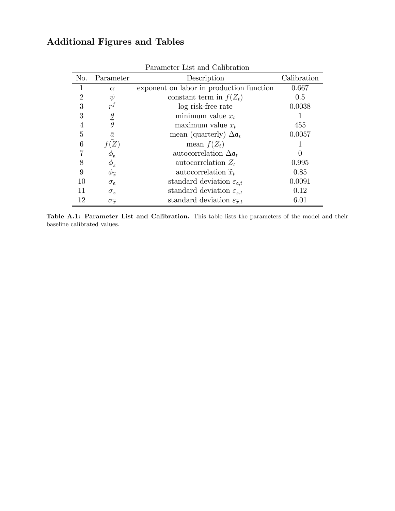# Additional Figures and Tables

|     |                               | тагашесег шы ашт сапы асюп                        |                  |
|-----|-------------------------------|---------------------------------------------------|------------------|
| No. | Parameter                     | Description                                       | Calibration      |
|     | $\alpha$                      | exponent on labor in production function          | 0.667            |
| 2   | $\psi$                        | constant term in $f(Z_t)$                         | 0.5              |
| 3   | $r^f$                         | log risk-free rate                                | 0.0038           |
| 3   | $\frac{\theta}{\bar{\theta}}$ | minimum value $x_t$                               |                  |
| 4   |                               | maximum value $x_t$                               | 455              |
| 5   | $\bar{a}$                     | mean (quarterly) $\Delta a_t$                     | 0.0057           |
| 6   |                               | mean $f(Z_t)$                                     |                  |
|     | $\phi_{\mathfrak{a}}$         | autocorrelation $\Delta a_t$                      | $\left( \right)$ |
| 8   | $\phi_z$                      | autocorrelation $Z_t$                             | 0.995            |
| 9   | $\phi_{\widetilde{x}}$        | autocorrelation $\widetilde{x}_t$                 | 0.85             |
| 10  | $\sigma_{\mathfrak{a}}$       | standard deviation $\varepsilon_{\mathfrak{a},t}$ | 0.0091           |
| 11  | $\sigma_z$                    | standard deviation $\varepsilon_{z,t}$            | 0.12             |
| 12  | $\sigma_{\widetilde{x}}$      | standard deviation $\varepsilon_{\tilde{x},t}$    | 6.01             |

Parameter List and Calibration

Table A.1: Parameter List and Calibration. This table lists the parameters of the model and their baseline calibrated values.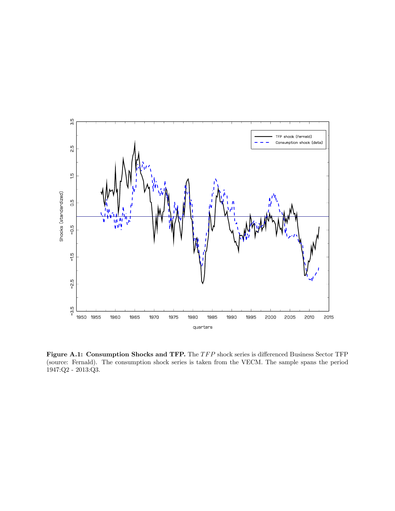

Figure A.1: Consumption Shocks and TFP. The TFP shock series is differenced Business Sector TFP (source: Fernald). The consumption shock series is taken from the VECM. The sample spans the period 1947:Q2 - 2013:Q3.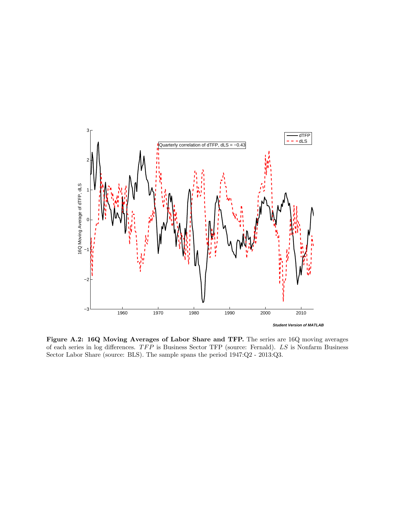

Figure A.2: 16Q Moving Averages of Labor Share and TFP. The series are 16Q moving averages of each series in log differences.  $TFP$  is Business Sector TFP (source: Fernald).  $LS$  is Nonfarm Business Sector Labor Share (source: BLS). The sample spans the period 1947:Q2 - 2013:Q3.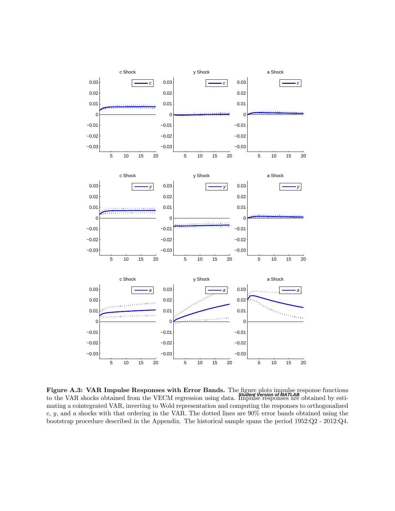

**Figure A.3: VAR Impulse Responses with Error Bands.** The figure plots impulse response functions  $\mathbf{S}^{\text{t}}$ to the VAR shocks obtained from the VECM regression using data. Impulse responses are obtained by estimating a cointegrated VAR, inverting to Wold representation and computing the responses to orthogonalized c, y, and a shocks with that ordering in the VAR. The dotted lines are  $90\%$  error bands obtained using the bootstrap procedure described in the Appendix. The historical sample spans the period 1952:Q2 - 2012:Q4.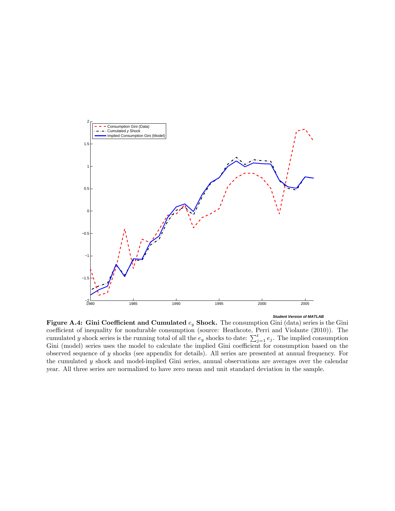

Figure A.4: Gini Coefficient and Cumulated  $e_y$  Shock. The consumption Gini (data) series is the Gini coefficient of inequality for nondurable consumption (source: Heathcote, Perri and Violante (2010)). The cumulated y shock series is the running total of all the  $e_y$  shocks to date:  $\sum_{j=1}^t e_j$ . The implied consumption Gini (model) series uses the model to calculate the implied Gini coefficient for consumption based on the observed sequence of y shocks (see appendix for details). All series are presented at annual frequency. For the cumulated y shock and model-implied Gini series, annual observations are averages over the calendar year. All three series are normalized to have zero mean and unit standard deviation in the sample.